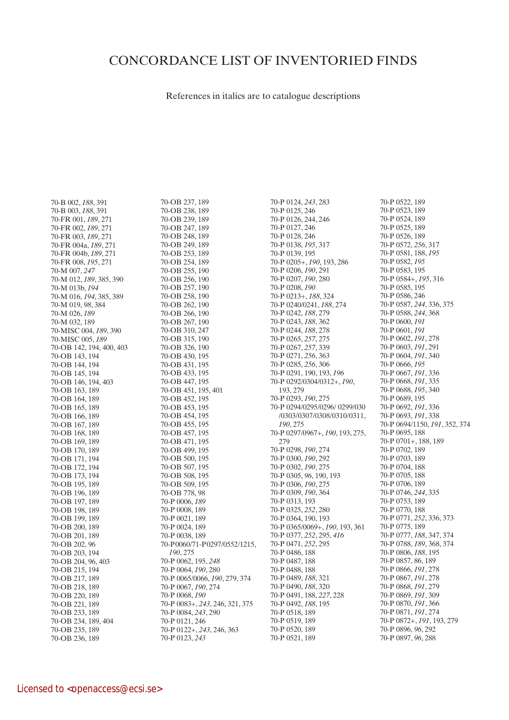## CONCORDANCE LIST OF INVENTORIED FINDS

References in italics are to catalogue descriptions

70-B 002, *188*, 391 70-B 003, *188*, 391 70-FR 001, *189*, 271 70-FR 002, *189*, 271 70-FR 003, *189*, 271 70-FR 004a, *189*, 271 70-FR 004b, *189*, 271 70-FR 008, *195*, 271 70-M 007, *247* 70-M 012, *189*, 385, 390 70-M 013b, *194* 70-M 016, *194*, 385, 389 70-M 019, *98*, 384 70-M 026, *189* 70-M 032, 189 70-MISC 004, *189*, 390 70-MISC 005, *189* 70-OB 142, 194, 400, 403 70-OB 143, 194 70-OB 144, 194 70-OB 145, 194 70-OB 146, 194, 403 70-OB 163, 189 70-OB 164, 189 70-OB 165, 189 70-OB 166, 189 70-OB 167, 189 70-OB 168, 189 70-OB 169, 189 70-OB 170, 189 70-OB 171, 194 70-OB 172, 194 70-OB 173, 194 70-OB 195, 189 70-OB 196, 189 70-OB 197, 189 70-OB 198, 189 70-OB 199, 189 70-OB 200, 189 70-OB 201, 189 70-OB 202, 96 70-OB 203, 194 70-OB 204, 96, 403 70-OB 215, 194 70-OB 217, 189 70-OB 218, 189 70-OB 220, 189 70-OB 221, 189 70-OB 233, 189 70-OB 234, 189, 404 70-OB 235, 189 70-OB 236, 189

70-OB 237, 189 70-OB 238, 189 70-OB 239, 189 70-OB 247, 189 70-OB 248, 189 70-OB 249, 189 70-OB 253, 189 70-OB 254, 189 70-OB 255, 190 70-OB 256, 190 70-OB 257, 190 70-OB 258, 190 70-OB 262, 190 70-OB 266, 190 70-OB 267, 190 70-OB 310, 247 70-OB 315, 190 70-OB 326, 190 70-OB 430, 195 70-OB 431, 195 70-OB 433, 195 70-OB 447, 195 70-OB 451, 195, 401 70-OB 452, 195 70-OB 453, 195 70-OB 454, 195 70-OB 455, 195 70-OB 457, 195 70-OB 471, 195 70-OB 499, 195 70-OB 500, 195 70-OB 507, 195 70-OB 508, 195 70-OB 509, 195 70-OB 778, 98 70-P 0006, *189* 70-P 0008, 189 70-P 0021, 189 70-P 0024, 189 70-P 0038, 189 70-P 0060/71-P 0297/0552/1215, *190*, 275 70-P 0062, 195, *248* 70-P 0064, *190*, 280 70-P 0065/0066, *190*, 279, 374 70-P 0067, *190*, 274 70-P 0068, *190* 70-P 0083+, *243*, 246, 321, 375 70-P 0084, *243*, 290 70-P 0121, 246 70-P 0122+, *243*, 246, 363 70-P 0123, *243*

70-P 0124, *243*, 283 70-P 0125, 246 70-P 0126, 244, 246 70-P 0127, 246 70-P 0128, 246 70-P 0138, *195*, 317 70-P 0139, 195 70-P 0205+, *190*, 193, 286 70-P 0206, *190*, 291 70-P 0207, *190*, 280 70-P 0208, *190* 70-P 0213+, *188*, 324 70-P 0240/0241, *188*, 274 70-P 0242, *188*, 279 70-P 0243, *188*, 362 70-P 0244, *188*, 278 70-P 0265, *257*, 275 70-P 0267, *257*, 339 70-P 0271, *256*, 363 70-P 0285, *256*, 306 70-P 0291, 190, 193, *196* 70-P 0292/0304/0312+, *190*, 193, 279 70-P 0293, *190*, 275 70-P 0294/0295/0296/ 0299/030 /0303/0307/0308/0310/0311, *190*, 275 70-P 0297/0967+, *190*, 193, 275, 279 70-P 0298, *190*, 274 70-P 0300, *190*, 292 70-P 0302, *190*, 275 70-P 0305, *96*, 190, 193 70-P 0306, *190*, 275 70-P 0309, *190*, 364 70-P 0313, 193 70-P 0325, *252*, 280 70-P 0364, 190, 193 70-P 0365/0069+, *190*, 193, 361 70-P 0377, *252*, 295, *416* 70-P 0471, *252*, 295 70-P 0486, 188 70-P 0487, 188 70-P 0488, 188 70-P 0489, *188*, 321 70-P 0490, *188*, 320 70-P 0491, 188, *227*, 228 70-P 0492, *188*, 195 70-P 0518, 189 70-P 0519, 189 70-P 0520, 189 70-P 0521, 189

70-P 0522, 189 70-P 0523, 189 70-P 0524, 189 70-P 0525, 189 70-P 0526, 189 70-P 0572, *256*, 317 70-P 0581, 188, *195* 70-P 0582, *195* 70-P 0583, 195 70-P 0584+, *195*, 316 70-P 0585, 195 70-P 0586, 246 70-P 0587, *244*, 336, 375 70-P 0588, *244*, 368 70-P 0600, *191* 70-P 0601, *191* 70-P 0602, *191*, 278 70-P 0603, *191*, 291 70-P 0604, *191*, 340 70-P 0666, *195* 70-P 0667, *191*, 336 70-P 0668, *191*, 335 70-P 0688, *195*, 340 70-P 0689, 195 70-P 0692, *191*, 336 70-P 0693, *191*, 338 70-P 0694/1150, *191*, 352, 374 70-P 0695, 188 70-P 0701+, 188, 189 70-P 0702, 189 70-P 0703, 189 70-P 0704, 188 70-P 0705, 188 70-P 0706, 189 70-P 0746, *244*, 335 70-P 0753, 189 70-P 0770, 188 70-P 0771, *252*, 336, 373 70-P 0775, 189 70-P 0777, *188*, 347, 374 70-P 0788, *189*, 368, 374 70-P 0806, *188*, 195 70-P 0857, 86, 189 70-P 0866, *191*, 278 70-P 0867, *191*, 278 70-P 0868, *191*, 279 70-P 0869, *191*, 309 70-P 0870, *191*, 366 70-P 0871, *191*, 274 70-P 0872+, *191*, 193, 279 70-P 0896, *96*, 292 70-P 0897, *96*, 288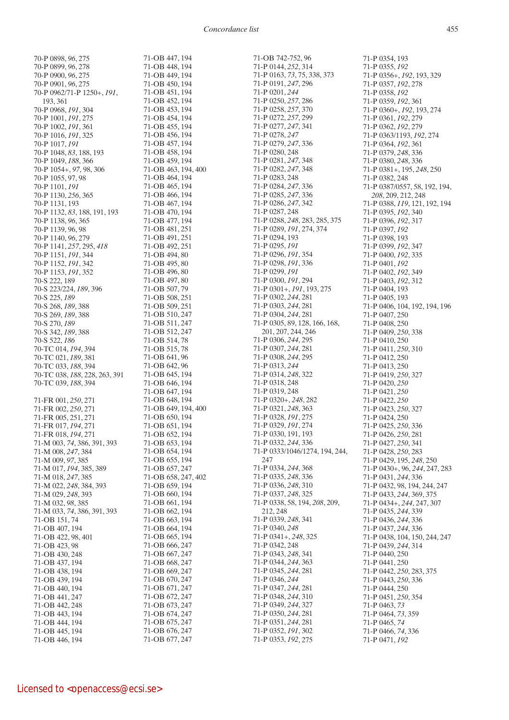70-P 0898, *96*, 275 70-P 0899, *96*, 278 70-P 0900, *96*, 275 70-P 0901, *96*, 275 70-P 0962/71-P 1250+, *191*, 193, 361 70-P 0968, *191*, 304 70-P 1001, *191*, 275 70-P 1002, *191*, 361 70-P 1016, *191*, 325 70-P 1017, *191* 70-P 1048, *83*, 188, 193 70-P 1049, *188*, 366 70-P 1054+, *97*, 98, 306 70-P 1055, 97, 98 70-P 1101, *191* 70-P 1130, *256*, 365 70-P 1131, 193 70-P 1132, *83*, 188, 191, 193 70-P 1138, *96*, 365 70-P 1139, 96, 98 70-P 1140, *96*, 279 70-P 1141, *257*, 295, *418* 70-P 1151, *191*, 344 70-P 1152, *191*, 342 70-P 1153, *191*, 352 70-S 222, 189 70-S 223/224, *189*, 396 70-S 225, *189* 70-S 268, *189*, 388 70-S 269, *189*, 388 70-S 270, *189* 70-S 342, *189*, 388 70-S 522, *186* 70-TC 014, *194*, 394 70-TC 021, *189*, 381 70-TC 033, *188*, 394 70-TC 038, *188*, 228, 263, 391 70-TC 039, *188*, 394 71-FR 001, *250*, 271 71-FR 002, *250*, 271 71-FR 005, 251, 271 71-FR 017, *194*, 271 71-FR 018, *194*, 271 71-M 003, *74*, 386, 391, 393 71-M 008, *247*, 384 71-M 009, *97*, 385 71-M 017, *194*, 385, 389 71-M 018, *247*, 385 71-M 022, *248*, 384, 393 71-M 029, *248*, 393 71-M 032, *98*, 385 71-M 033, *74*, 386, 391, 393 71-OB 151, 74 71-OB 407, 194 71-OB 422, 98, 401 71-OB 423, 98 71-OB 430, 248 71-OB 437, 194 71-OB 438, 194 71-OB 439, 194 71-OB 440, 194 71-OB 441, 247 71-OB 442, 248 71-OB 443, 194 71-OB 444, 194 71-OB 445, 194

71<sub>-OB</sub> 447 194 71-OB 448, 194 71-OB 449, 194 71-OB 450, 194 71-OB 451, 194 71-OB 452, 194 71-OB 453, 194 71-OB 454, 194 71-OB 455, 194 71-OB 456, 194 71-OB 457, 194 71-OB 458, 194 71-OB 459, 194 71-OB 463, 194, 400 71-OB 464, 194 71-OB 465, 194 71-OB 466, 194 71-OB 467, 194 71-OB 470, 194 71-OB 477, 194 71-OB 481, 251 71-OB 491, 251 71-OB 492, 251 71-OB 494, 80 71-OB 495, 80 71-OB 496, 80 71-OB 497, 80 71-OB 507, 79 71-OB 508, 251 71-OB 509, 251 71-OB 510, 247 71-OB 511, 247 71-OB 512, 247 71-OB 514, 78 71-OB 515, 78 71-OB 641, 96 71-OB 642, 96 71-OB 645, 194 71-OB 646, 194 71-OB 647, 194 71-OB 648, 194 71-OB 649, 194, 400 71-OB 650, 194 71-OB 651, 194 71-OB 652, 194 71-OB 653, 194 71-OB 654, 194 71-OB 655, 194 71-OB 657, 247 71-OB 658, 247, 402 71-OB 659, 194 71-OB 660, 194 71-OB 661, 194 71-OB 662, 194 71-OB 663, 194 71-OB 664, 194 71-OB 665, 194 71-OB 666, 247 71-OB 667, 247 71-OB 668, 247 71-OB 669, 247 71-OB 670, 247 71-OB 671, 247 71-OB 672, 247 71-OB 673, 247 71-OB 674, 247 71-OB 675, 247 71-OB 676, 247

71-OB 677, 247

71-OB 742-752, 96 71-P 0144, *252*, 314 71-P 0163, *73*, 75, 338, 373 71-P 0191, *247*, 296 71-P 0201, *244* 71-P 0250, *257*, 286 71-P 0258, *257*, 370 71-P 0272, *257*, 299 71-P 0277, *247*, 341 71-P 0278, *247* 71-P 0279, *247*, 336 71-P 0280, 248 71-P 0281, *247*, 348 71-P 0282, *247*, 348 71-P 0283, 248 71-P 0284, *247*, 336 71-P 0285, *247*, 336 71-P 0286, *247*, 342 71-P 0287, 248 71-P 0288, *248*, 283, 285, 375 71-P 0289, *191*, 274, 374 71-P 0294, 193 71-P 0295, *191* 71-P 0296, *191*, 354 71-P 0298, *191*, 336 71-P 0299, *191* 71-P 0300, *191*, 294 71-P 0301+, *191*, 193, 275 71-P 0302, *244*, 281 71-P 0303, *244*, 281 71-P 0304, *244*, 281 71-P 0305, 89, 128, 166, 168, 201, 207, 244, 246 71-P 0306, *244*, 295 71-P 0307, *244*, 281 71-P 0308, *244*, 295 71-P 0313, *244* 71-P 0314, *248*, 322 71-P 0318, 248 71-P 0319, 248 71-P 0320+, *248*, 282 71-P 0321, *248*, 363 71-P 0328, *191*, 275 71-P 0329, *191*, 274 71-P 0330, 191, 193 71-P 0332, *244*, 336 71-P 0333/1046/1274, 194, 244, 247 71-P 0334, *244*, 368 71-P 0335, *248*, 336 71-P 0336, *248*, 310 71-P 0337, *248*, 325 71-P 0338, 58, 194, *208*, 209, 212, 248 71-P 0339, *248*, 341 71-P 0340, *248* 71-P 0341+, *248*, 325 71-P 0342, 248 71-P 0343, *248*, 341 71-P 0344, *244*, 363 71-P 0345, *244*, 281 71-P 0346, *244* 71-P 0347, *244*, 281 71-P 0348, *244*, 310 71-P 0349, *244*, 327 71-P 0350, *244*, 281 71-P 0351, *244*, 281 71-P 0352, *191*, 302 71-P 0353, *192*, 275

71-P 0354, 193 71-P 0355, *192* 71-P 0356+, *192*, 193, 329 71-P 0357, *192*, 278 71-P 0358, *192* 71-P 0359, *192*, 361 71-P 0360+, *192*, 193, 274 71-P 0361, *192*, 279 71-P 0362, *192*, 279 71-P 0363/1193, *192*, 274 71-P 0364, *192*, 361 71-P 0379, *248*, 336 71-P 0380, *248*, 336 71-P 0381+, 195, *248*, 250 71-P 0382, 248 71-P 0387/0557, 58, 192, 194, *208*, 209, 212, 248 71-P 0388, *119*, 121, 192, 194 71-P 0395, *192*, 340 71-P 0396, *192*, 317 71-P 0397, *192* 71-P 0398, 193 71-P 0399, *192*, 347 71-P 0400, *192*, 335 71-P 0401, *192* 71-P 0402, *192*, 349 71-P 0403, *192*, 312 71-P 0404, 193 71-P 0405, 193 71-P 0406, 104, 192, 194, 196 71-P 0407, 250 71-P 0408, 250 71-P 0409, *250*, 338 71-P 0410, 250 71-P 0411, *250*, 310 71-P 0412, 250 71-P 0413, 250 71-P 0419, *250*, 327 71-P 0420, *250* 71-P 0421, *250* 71-P 0422, *250* 71-P 0423, *250*, 327 71-P 0424, 250 71-P 0425, *250*, 336 71-P 0426, *250*, 281 71-P 0427, *250*, 341 71-P 0428, *250*, 283 71-P 0429, 195, *248*, 250 71-P 0430+, 96, *244*, 247, 283 71-P 0431, *244*, 336 71-P 0432, 98, 194, 244, 247 71-P 0433, *244*, 369, 375 71-P 0434+, *244*, 247, 307 71-P 0435, *244*, 339 71-P 0436, *244*, 336 71-P 0437, *244*, 336 71-P 0438, 104, 150, 244, 247 71-P 0439, *244*, 314 71-P 0440, 250 71-P 0441, 250 71-P 0442, *250*, 283, 375 71-P 0443, *250*, 336 71-P 0444, 250 71-P 0451, *250*, 354 71-P 0463, *73* 71-P 0464, *73*, 359 71-P 0465, *74* 71-P 0466, *74*, 336 71-P 0471, *192*

71-OB 446, 194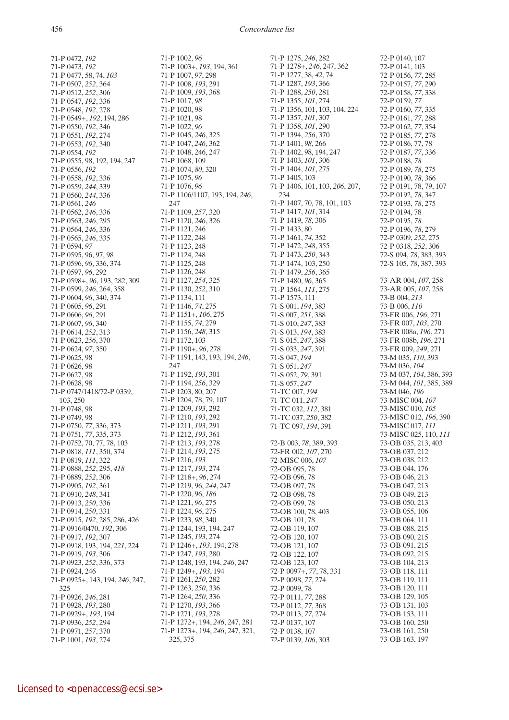71-P 0472, *192* 71-P 0473, *192* 71-P 0477, 58, 74, *103* 71-P 0507, *252*, 364 71-P 0512, *252*, 306 71-P 0547, *192*, 336 71-P 0548, *192*, 278 71-P 0549+, *192*, 194, 286 71-P 0550, *192*, 346 71-P 0551, *192*, 274 71-P 0553, *192*, 340 71-P 0554, *192* 71-P 0555, 98, 192, 194, 247 71-P 0556, *192* 71-P 0558, *192*, 336 71-P 0559, *244*, 339 71-P 0560, *244*, 336 71-P 0561, *246* 71-P 0562, *246*, 336 71-P 0563, *246*, 295 71-P 0564, *246*, 336 71-P 0565, *246*, 335 71-P 0594, *97* 71-P 0595, 96, 97, 98 71-P 0596, *96*, 336, 374 71-P 0597, *96*, 292 71-P 0598+, *96*, 193, 282, 309 71-P 0599, *246*, 264, 358 71-P 0604, *96*, 340, 374 71-P 0605, *96*, 291 71-P 0606, *96*, 291 71-P 0607, *96*, 340 71-P 0614, *252*, 313 71-P 0623, *256*, 370 71-P 0624, *97*, 350 71-P 0625, 98 71-P 0626, 98 71-P 0627, 98 71-P 0628, 98 71-P 0747/1418/72-P 0339, 103, 250 71-P 0748, 98 71-P 0749, 98 71-P 0750, *77*, 336, 373 71-P 0751, *77*, 335, 373 71-P 0752, 70, 77, 78, 103 71-P 0818, *111*, 350, 374 71-P 0819, *111*, 322 71-P 0888, *252*, 295, *418* 71-P 0889, *252*, 306 71-P 0905, *192*, 361 71-P 0910, *248*, 341 71-P 0913, *250*, 336 71-P 0914, *250*, 331 71-P 0915, *192*, 285, 286, 426 71-P 0916/0470, *192*, 306 71-P 0917, *192*, 307 71-P 0918, 193, 194, *221*, 224 71-P 0919, *193*, 306 71-P 0923, *252*, 336, 373 71-P 0924, 246 71-P 0925+, 143, 194, *246*, 247, 325 71-P 0926, *246*, 281 71-P 0928, *193*, 280 71-P 0929+, *193*, 194 71-P 0936, *252*, 294 71-P 0971, *257*, 370 71-P 1001, *193*, 274

71-P 1007, *97*, 298 71-P 1008, *193*, 291 71-P 1009, *193*, 368 71-P 1017, *98* 71-P 1020, 98 71-P 1021, 98 71-P 1022, *96* 71-P 1045, *246*, 325 71-P 1047, *246*, 362 71-P 1048, 246, 247 71-P 1068, 109 71-P 1074, *80*, 320 71-P 1075, *96* 71-P 1076, *96* 71-P 1106/1107, 193, 194, *246*, 247 71-P 1109, *257*, 320 71-P 1120, *246*, 326 71-P 1121, 246 71-P 1122, 248 71-P 1123, 248 71-P 1124, 248 71-P 1125, 248 71-P 1126, 248 71-P 1127, *254*, 325 71-P 1130, *252*, 310 71-P 1134, 111 71-P 1146, *74*, 275 71-P 1151+, *106*, 275 71-P 1155, *74*, 279 71-P 1156, *248*, 315 71-P 1172, 103 71-P 1190+, *96*, 278 71-P 1191, 143, 193, 194, *246*, 247 71-P 1192, *193*, 301 71-P 1194, *256*, 329 71-P 1203, 80, 207 71-P 1204, 78, 79, 107 71-P 1209, *193*, 292 71-P 1210, *193*, 292 71-P 1211, *193*, 291 71-P 1212, *193*, 361 71-P 1213, *193*, 278 71-P 1214, *193*, 275 71-P 1216, *193* 71-P 1217, *193*, 274 71-P 1218+, *96*, 274 71-P 1219, 96, *244*, 247 71-P 1220, 96, *186* 71-P 1221, *96*, 275 71-P 1224, *96*, 275 71-P 1233, *98*, 340 71-P 1244, 193, 194, 247 71-P 1245, *193*, 274 71-P 1246+, *193*, 194, 278 71-P 1247, *193*, 280 71-P 1248, 193, 194, *246*, 247 71-P 1249+, *193*, 194 71-P 1261, *250*, 282 71-P 1263, *250*, 336 71-P 1264, *250*, 336 71-P 1270, *193*, 366 71-P 1271, *193*, 278 71-P 1272+, 194, *246*, 247, 281 71-P 1273+, 194, *246*, 247, 321, 325, 375

71-P 1275, *246*, 282 71-P 1278+, *246*, 247, 362 71-P 1277, 38, *42*, 74 71-P 1287, *193*, 366 71-P 1288, *250*, 281 71-P 1355, *101*, 274 71-P 1356, 101, 103, 104, 224 71-P 1357, *101*, 307 71-P 1358, *101*, 290 71-P 1394, *256*, 370 71-P 1401, *98*, 266 71-P 1402, 98, 194, 247 71-P 1403, *101*, 306 71-P 1404, *101*, 275 71-P 1405, 103 71-P 1406, 101, 103, *206*, 207, 234 71-P 1407, 70, 78, 101, 103 71-P 1417, *101*, 314 71-P 1419, *78*, 306 71-P 1433, 80 71-P 1461, *74*, 352 71-P 1472, *248*, 355 71-P 1473, *250*, 343 71-P 1474, 103, 250 71-P 1479, *256*, 365 71-P 1480, *96*, 365 71-P 1564, *111*, 275 71-P 1573, 111 71-S 001, *194*, 383 71-S 007, *251*, 388 71-S 010, *247*, 383 71-S 013, *194*, 383 71-S 015, *247*, 388 71-S 033, *247*, 391 71-S 047, *194* 71-S 051, *247* 71-S 052, *79*, 391 71-S 057, *247* 71-TC 007, *194* 71-TC 011, *247* 71-TC 032, *112*, 381 71-TC 037, *250*, 382 71-TC 097, *194*, 391 72-B 003, *78*, 389, 393 72-FR 002, *107*, 270 72-MISC 006, *107* 72-OB 095, 78 72-OB 096, 78 72-OB 097, 78 72-OB 098, 78 72-OB 099, 78 72-OB 100, 78, 403 72-OB 101, 78 72-OB 119, 107 72-OB 120, 107 72-OB 121, 107 72-OB 122, 107 72-OB 123, 107 72-P 0097+, *77*, 78, 331 72-P 0098, *77*, 274 72-P 0099, 78 72-P 0111, *77*, 288 72-P 0112, *77*, 368 72-P 0113, *77*, 274 72-P 0137, 107 72-P 0138, 107 72-P 0139, *106*, 303

72-P 0140, 107 72-P 0141, 103 72-P 0156, *77*, 285 72-P 0157, *77*, 290 72-P 0158, *77*, 338 72-P 0159, *77* 72-P 0160, *77*, 335 72-P 0161, *77*, 288 72-P 0162, *77*, 354 72-P 0185, *77*, 278 72-P 0186, 77, 78 72-P 0187, *77*, 336 72-P 0188, *78* 72-P 0189, *78*, 275 72-P 0190, *78*, 366 72-P 0191, 78, 79, 107 72-P 0192, *78*, 347 72-P 0193, *78*, 275 72-P 0194, 78 72-P 0195, *78* 72-P 0196, *78*, 279 72-P 0309, *252*, 275 72-P 0318, *252*, 306 72-S 094, *78*, 383, 393 72-S 105, *78*, 387, 393 73-AR 004, *107*, 258 73-AR 005, *107*, 258 73-B 004, *213* 73-B 006, *110* 73-FR 006, *196*, 271 73-FR 007, *103*, 270 73-FR 008a, *196*, 271 73-FR 008b, *196*, 271 73-FR 009, *249*, 271 73-M 035, *110*, 393 73-M 036, *104* 73-M 037, *104*, 386, 393 73-M 044, *101*, 385, 389 73-M 046, *196* 73-MISC 004, *107* 73-MISC 010, *105* 73-MISC 012, *196*, 390 73-MISC 017, *111* 73-MISC 025, 110, *111* 73-OB 035, 213, 403 73-OB 037, 212 73-OB 038, 212 73-OB 044, 176 73-OB 046, 213 73-OB 047, 213 73-OB 049, 213 73-OB 050, 213 73-OB 055, 106 73-OB 064, 111 73-OB 088, 215 73-OB 090, 215 73-OB 091, 215 73-OB 092, 215 73-OB 104, 213 73-OB 118, 111 73-OB 119, 111 73-OB 120, 111 73-OB 129, 105 73-OB 131, 103 73-OB 153, 111 73-OB 160, 250 73-OB 161, 250

73-OB 163, 197

71-P 1002, *96*

71-P 1003+, *193*, 194, 361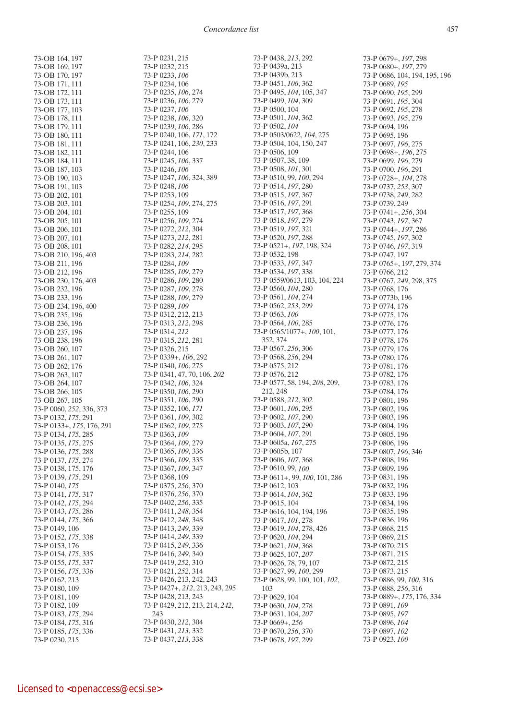73-OB 164, 197 73-OB 169, 197 73-OB 170, 197 73-OB 171, 111 73-OB 172, 111 73-OB 173, 111 73-OB 177, 103 73-OB 178, 111 73-OB 179, 111 73-OB 180, 111 73-OB 181, 111 73-OB 182, 111 73-OB 184, 111 73-OB 187, 103 73-OB 190, 103 73-OB 191, 103 73-OB 202, 101 73-OB 203, 101 73-OB 204, 101 73-OB 205, 101 73-OB 206, 101 73-OB 207, 101 73-OB 208, 101 73-OB 210, 196, 403 73-OB 211, 196 73-OB 212, 196 73-OB 230, 176, 403 73-OB 232, 196 73-OB 233, 196 73-OB 234, 196, 400 73-OB 235, 196 73-OB 236, 196 73-OB 237, 196 73-OB 238, 196 73-OB 260, 107 73-OB 261, 107 73-OB 262, 176 73-OB 263, 107 73-OB 264, 107 73-OB 266, 105 73-OB 267, 105 73-P 0060, *252*, 336, 373 73-P 0132, *175*, 291 73-P 0133+, *175*, 176, 291 73-P 0134, *175*, 285 73-P 0135, *175*, 275 73-P 0136, *175*, 288 73-P 0137, *175*, 274 73-P 0138, 175, 176 73-P 0139, *175*, 291 73-P 0140, *175* 73-P 0141, *175*, 317 73-P 0142, *175*, 294 73-P 0143, *175*, 286 73-P 0144, *175*, 366 73-P 0149, 106 73-P 0152, *175*, 338 73-P 0153, 176 73-P 0154, *175*, 335 73-P 0155, *175*, 337 73-P 0156, *175*, 336 73-P 0162, 213 73-P 0180, 109 73-P 0181, 109 73-P 0182, 109 73-P 0183, *175*, 294 73-P 0184, *175*, 316 73-P 0185, *175*, 336 73-P 0230, 215

73-P 0231, 215 73-P 0232, 215 73-P 0233, *106* 73-P 0234, 106 73-P 0235, *106*, 274 73-P 0236, *106*, 279 73-P 0237, *106* 73-P 0238, *106*, 320 73-P 0239, *106*, 286 73-P 0240, 106, *171*, 172 73-P 0241, 106, *230*, 233 73-P 0244, 106 73-P 0245, *106*, 337 73-P 0246, *106* 73-P 0247, *106*, 324, 389 73-P 0248, *106* 73-P 0253, 109 73-P 0254, *109*, 274, 275 73-P 0255, 109 73-P 0256, *109*, 274 73-P 0272, *212*, 304 73-P 0273, *212*, 281 73-P 0282, *214*, 295 73-P 0283, *214*, 282 73-P 0284, *109* 73-P 0285, *109*, 279 73-P 0286, *109*, 280 73-P 0287, *109*, 278 73-P 0288, *109*, 279 73-P 0289, *109* 73-P 0312, 212, 213 73-P 0313, *212*, 298 73-P 0314, *212* 73-P 0315, *212*, 281 73-P 0326, 215 73-P 0339+, *106*, 292 73-P 0340, *106*, 275 73-P 0341, 47, 70, 106, *202* 73-P 0342, *106*, 324 73-P 0350, *106*, 290 73-P 0351, *106*, 290 73-P 0352, 106, *171* 73-P 0361, *109*, 302 73-P 0362, *109*, 275 73-P 0363, *109* 73-P 0364, *109*, 279 73-P 0365, *109*, 336 73-P 0366, *109*, 335 73-P 0367, *109*, 347 73-P 0368, 109 73-P 0375, *256*, 370 73-P 0376, *256*, 370 73-P 0402, *256*, 335 73-P 0411, *248*, 354 73-P 0412, *248*, 348 73-P 0413, *249*, 339 73-P 0414, *249*, 339 73-P 0415, *249*, 336 73-P 0416, *249*, 340 73-P 0419, *252*, 310 73-P 0421, *252*, 314 73-P 0426, 213, 242, 243 73-P 0427+, *212*, 213, 243, 295 73-P 0428, 213, 243 73-P 0429, 212, 213, 214, *242*, 243 73-P 0430, *212*, 304 73-P 0431, *213*, 332 73-P 0437, *213*, 338

73-P 0438, *213*, 292 73-P 0439a, 213 73-P 0439b, 213 73-P 0451, *106*, 362 73-P 0495, *104*, 105, 347 73-P 0499, *104*, 309 73-P 0500, 104 73-P 0501, *104*, 362 73-P 0502, *104* 73-P 0503/0622, *104*, 275 73-P 0504, 104, 150, 247 73-P 0506, 109 73-P 0507, 38, 109 73-P 0508, *101*, 301 73-P 0510, 99, *100*, 294 73-P 0514, *197*, 280 73-P 0515, *197*, 367 73-P 0516, *197*, 291 73-P 0517, *197*, 368 73-P 0518, *197*, 279 73-P 0519, *197*, 321 73-P 0520, *197*, 288 73-P 0521+, *197*, 198, 324 73-P 0532, 198 73-P 0533, *197*, 347 73-P 0534, *197*, 338 73-P 0559/0613, 103, 104, 224 73-P 0560, *104*, 280 73-P 0561, *104*, 274 73-P 0562, *253*, 299 73-P 0563, *100* 73-P 0564, *100*, 285 73-P 0565/1077+, *100*, 101, 352, 374 73-P 0567, *256*, 306 73-P 0568, *256*, 294 73-P 0575, 212 73-P 0576, 212 73-P 0577, 58, 194, *208*, 209, 212, 248 73-P 0588, *212*, 302 73-P 0601, *106*, 295 73-P 0602, *107*, 290 73-P 0603, *107*, 290 73-P 0604, *107*, 291 73-P 0605a, *107*, 275 73-P 0605b, 107 73-P 0606, *107*, 368 73-P 0610, 99, *100* 73-P 0611+, 99, *100*, 101, 286 73-P 0612, 103 73-P 0614, *104*, 362 73-P 0615, 104 73-P 0616, 104, 194, 196 73-P 0617, *101*, 278 73-P 0619, *104*, 278, 426 73-P 0620, *104*, 294 73-P 0621, *104*, 368 73-P 0625, 107, *207* 73-P 0626, 78, 79, 107 73-P 0627, 99, *100*, 299 73-P 0628, 99, 100, 101, *102*, 103 73-P 0629, 104 73-P 0630, *104*, 278 73-P 0631, 104, *207* 73-P 0669+, *256* 73-P 0670, *256*, 370 73-P 0678, *197*, 299

73-P 0679+, *197*, 298 73-P 0680+, *197*, 279 73-P 0686, 104, 194, 195, 196 73-P 0689, *195* 73-P 0690, *195*, 299 73-P 0691, *195*, 304 73-P 0692, *195*, 278 73-P 0693, *195*, 279 73-P 0694, 196 73-P 0695, 196 73-P 0697, *196*, 275 73-P 0698+, *196*, 275 73-P 0699, *196*, 279 73-P 0700, *196*, 291 73-P 0728+, *104*, 278 73-P 0737, *253*, 307 73-P 0738, *249*, 282 73-P 0739, 249 73-P 0741+, *256*, 304 73-P 0743, *197*, 367 73-P 0744+, *197*, 286 73-P 0745, *197*, 302 73-P 0746, *197*, 319 73-P 0747, 197 73-P 0765+, 1*97*, 279, 374 73-P 0766, 212 73-P 0767, *249*, 298, 375 73-P 0768, 176 73-P 0773b, 196 73-P 0774, 176 73-P 0775, 176 73-P 0776, 176 73-P 0777, 176 73-P 0778, 176 73-P 0779, 176 73-P 0780, 176 73-P 0781, 176 73-P 0782, 176 73-P 0783, 176 73-P 0784, 176 73-P 0801, 196 73-P 0802, 196 73-P 0803, 196 73-P 0804, 196 73-P 0805, 196 73-P 0806, 196 73-P 0807, *196*, 346 73-P 0808, 196 73-P 0809, 196 73-P 0831, 196 73-P 0832, 196 73-P 0833, 196 73-P 0834, 196 73-P 0835, 196 73-P 0836, 196 73-P 0868, 215 73-P 0869, 215 73-P 0870, 215 73-P 0871, 215 73-P 0872, 215 73-P 0873, 215 73-P 0886, 99, *100*, 316 73-P 0888, *256*, 316 73-P 0889+, *175*, 176, 334 73-P 0891, *109* 73-P 0895, *197* 73-P 0896, *104* 73-P 0897, *102* 73-P 0923, *100*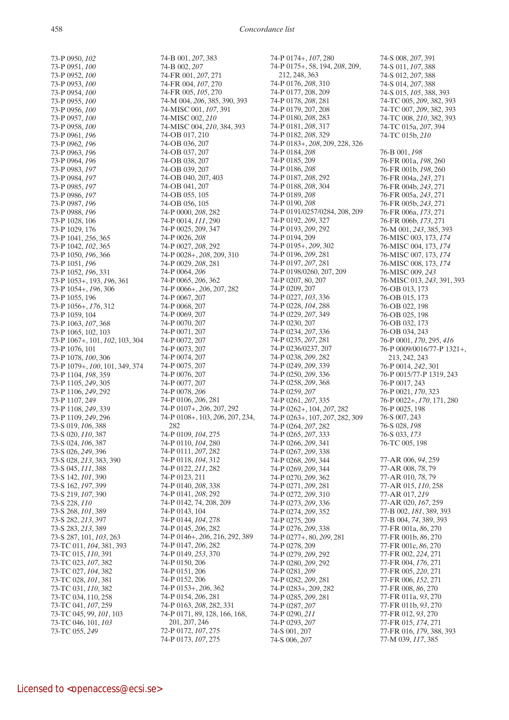73-P 0950, *102* 73-P 0951, *100* 73-P 0952, *100* 73-P 0953, *100* 73-P 0954, *100* 73-P 0955, *100* 73-P 0956, *100* 73-P 0957, *100* 73-P 0958, *100* 73-P 0961, *196* 73-P 0962, *196* 73-P 0963, *196* 73-P 0964, *196* 73-P 0983, *197* 73-P 0984, *197* 73-P 0985, *197* 73-P 0986, *197* 73-P 0987, *196* 73-P 0988, *196* 73-P 1028, 106 73-P 1029, 176 73-P 1041, *256*, 365 73-P 1042, *102*, 365 73-P 1050, *196*, 366 73-P 1051, *196* 73-P 1052, *196*, 331 73-P 1053+, 193, *196*, 361 73-P 1054+, *196*, 306 73-P 1055, 196 73-P 1056+, *176*, 312 73-P 1059, 104 73-P 1063, *107*, 368 73-P 1065, 102, 103 73-P 1067+, 101, *102*, 103, 304 73-P 1076, 101 73-P 1078, *100*, 306 73-P 1079+, *100*, 101, 349, 374 73-P 1104, *198*, 359 73-P 1105, *249*, 305 73-P 1106, *249*, 292 73-P 1107, 249 73-P 1108, *249*, 339 73-P 1109, *249*, 296 73-S 019, *106*, 388 73-S 020, *110*, 387 73-S 024, *106*, 387 73-S 026, *249*, 396 73-S 028, *213*, 383, 390 73-S 045, *111*, 388 73-S 142, *101*, 390 73-S 162, *197*, 399 73-S 219, *107*, 390 73-S 228, *110* 73-S 268, *101*, 389 73-S 282, *213*, 397 73-S 283, *213*, 389 73-S 287, 101, *103*, 263 73-TC 011, *104*, 381, 393 73-TC 015, *110*, 391 73-TC 023, *107*, 382 73-TC 027, *104*, 382 73-TC 028, *101*, 381 73-TC 031, *110*, 382 73-TC 034, 110, 258 73-TC 041, *107*, 259 73-TC 045, 99, *101*, 103 73-TC 046, 101, *103* 73-TC 055, *249*

74-B 001, *207*, 383 74-B 002, *207* 74-FR 001, *207*, 271 74-FR 004, *107*, 270 74-FR 005, *105*, 270 74-M 004, *206*, 385, 390, 393 74-MISC 001, *107*, 391 74-MISC 002, *210* 74-MISC 004, *210*, 384, 393 74-OB 017, 210 74-OB 036, 207 74-OB 037, 207 74-OB 038, 207 74-OB 039, 207 74-OB 040, 207, 403 74-OB 041, 207 74-OB 055, 105 74-OB 056, 105 74-P 0000, *208*, 282 74-P 0014, *111*, 290 74-P 0025, 209, 347 74-P 0026, *208* 74-P 0027, *208*, 292 74-P 0028+, *208*, 209, 310 74-P 0029, *208*, 281 74-P 0064, *206* 74-P 0065, *206*, 362 74-P 0066+, *206*, 207, 282 74-P 0067, 207 74-P 0068, 207 74-P 0069, 207 74-P 0070, 207 74-P 0071, 207 74-P 0072, 207 74-P 0073, 207 74-P 0074, 207 74-P 0075, 207 74-P 0076, 207 74-P 0077, 207 74-P 0078, *206* 74-P 0106, *206*, 281 74-P 0107+, *206*, 207, 292 74-P 0108+, 103, *206*, 207, 234, 282 74-P 0109, *104*, 275 74-P 0110, *104*, 280 74-P 0111, *207*, 282 74-P 0118, *104*, 312 74-P 0122, *211*, 282 74-P 0123, 211 74-P 0140, *208*, 338 74-P 0141, *208*, 292 74-P 0142, 74, 208, 209 74-P 0143, 104 74-P 0144, *104*, 278 74-P 0145, *206*, 282 74-P 0146+, *206*, 216, 292, 389 74-P 0147, *206*, 282 74-P 0149, *253*, 370 74-P 0150, 206 74-P 0151, 206 74-P 0152, 206 74-P 0153+, *206*, 362 74-P 0154, *206*, 281 74-P 0163, *208*, 282, 331 74-P 0171, 89, 128, 166, 168, 201, 207, 246 72-P 0172, *107*, 275 74-P 0173, *107*, 275

74-P 0174+, *107*, 280 74-P 0175+, 58, 194, *208*, 209, 212, 248, 363 74-P 0176, *208*, 310 74-P 0177, 208, 209 74-P 0178, *208*, 281 74-P 0179, 207, 208 74-P 0180, *208*, 283 74-P 0181, *208*, 317 74-P 0182, *208*, 329 74-P 0183+, *208*, 209, 228, 326 74-P 0184, *208* 74-P 0185, 209 74-P 0186, *208* 74-P 0187, *208*, 292 74-P 0188, *208*, 304 74-P 0189, *208* 74-P 0190, *208* 74-P 0191/0257/0284, 208, 209 74-P 0192, *209*, 327 74-P 0193, *209*, 292 74-P 0194, 209 74-P 0195+, *209*, 302 74-P 0196, *209*, 281 74-P 0197, *207*, 281 74-P 0198/0260, 207, 209 74-P 0207, 80, 207 74-P 0209, 207 74-P 0227, *103*, 336 74-P 0228, *104*, 288 74-P 0229, *207*, 349 74-P 0230, 207 74-P 0234, *207*, 336 74-P 0235, *207*, 281 74-P 0236/0237, 207 74-P 0238, *209*, 282 74-P 0249, *209*, 339 74-P 0250, *209*, 336 74-P 0258, *209*, 368 74-P 0259, *207* 74-P 0261, *207*, 335 74-P 0262+, 104, *207*, 282 74-P 0263+, 107, *207*, 282, 309 74-P 0264, *207*, 282 74-P 0265, *207*, 333 74-P 0266, *209*, 341 74-P 0267, *209*, 338 74-P 0268, *209*, 344 74-P 0269, *209*, 344 74-P 0270, *209*, 362 74-P 0271, *209*, 281 74-P 0272, *209*, 310 74-P 0273, *209*, 336 74-P 0274, *209*, 352 74-P 0275, 209 74-P 0276, *209*, 338 74-P 0277+, 80, *209*, 281 74-P 0278, 209 74-P 0279, *209*, 292 74-P 0280, *209*, 292 74-P 0281, *209* 74-P 0282, *209*, 281 74-P 0283+, 209, 282 74-P 0285, *209*, 281 74-P 0287, *207* 74-P 0290, *211*  74-P 0293, *207* 74-S 001, 207 74-S 006, *207*

74-S 008, *207*, 391 74-S 011, *107*, 388 74-S 012, *207*, 388 74-S 014, *207*, 388 74-S 015, *105*, 388, 393 74-TC 005, *209*, 382, 393 74-TC 007, *209*, 382, 393 74-TC 008, *210*, 382, 393 74-TC 015a, *207*, 394 74-TC 015b, *210* 76-B 001, *198* 76-FR 001a, *198*, 260 76-FR 001b, *198*, 260 76-FR 004a, *243*, 271 76-FR 004b, *243*, 271 76-FR 005a, *243*, 271 76-FR 005b, *243*, 271 76-FR 006a, *173*, 271 76-FR 006b, *173*, 271 76-M 001, *243*, 385, 393 76-MISC 003, 173, *174* 76-MISC 004, 173, *174* 76-MISC 007, 173, *174* 76-MISC 008, 173, *174* 76-MISC 009, *243* 76-MISC 013, *243*, 391, 393 76-OB 013, 173 76-OB 015, 173 76-OB 022, 198 76-OB 025, 198 76-OB 032, 173 76-OB 034, 243 76-P 0001, *170*, 295, *416* 76-P 0009/0016/77-P 1321+, 213, 242, 243 76-P 0014, *242*, 301 76-P 0015/77-P 1319, 243 76-P 0017, 243 76-P 0021, *170*, 323 76-P 0022+, *170*, 171, 280 76-P 0025, 198 76-S 007, 243 76-S 028, *198* 76-S 033, *173* 76-TC 005, 198 77-AR 006, *94*, 259 77-AR 008, *78*, 79 77-AR 010, *78*, 79 77-AR 015, *110*, 258 77-AR 017, *219* 77-AR 020, *167*, 259 77-B 002, *181*, 389, 393 77-B 004, *74*, 389, 393 77-FR 001a, *86*, 270 77-FR 001b, *86*, 270 77-FR 001c, *86*, 270 77-FR 002, *224*, 271 77-FR 004, *176*, 271 77-FR 005, *220*, 271 77-FR 006, *152*, 271 77-FR 008, *86*, 270 77-FR 011a, *93*, 270 77-FR 011b, *93*, 270 77-FR 012, *93*, 270 77-FR 015, *174*, 271 77-FR 016, *179*, 388, 393 77-M 039, *117*, 385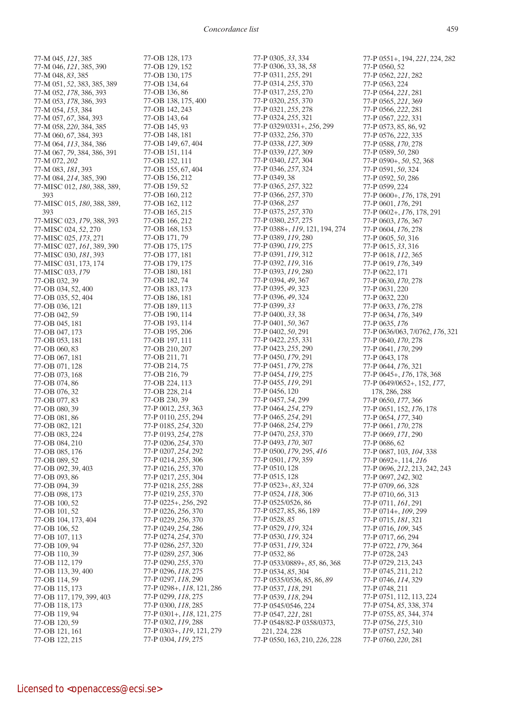77-M 045, *121*, 385 77-M 046, *121*, 385, 390 77-M 048, *83*, 385 77-M 051, *52*, 383, 385, 389 77-M 052, *178*, 386, 393 77-M 053, *178*, 386, 393 77-M 054, *153*, 384 77-M 057, *67*, 384, 393 77-M 058, *220*, 384, 385 77-M 060, *67*, 384, 393 77-M 064, *113*, 384, 386 77-M 067, *79*, 384, 386, 391 77-M 072, *202* 77-M 083, *181*, 393 77-M 084, *214*, 385, 390 77-MISC 012, *180*, 388, 389, 393 77-MISC 015, *180*, 388, 389, 393 77-MISC 023, *179*, 388, 393 77-MISC 024, *52*, 270 77-MISC 025, *173*, 271 77-MISC 027, *161*, 389, 390 77-MISC 030, *181*, 393 77-MISC 031, 173, 174 77-MISC 033, *179* 77-OB 032, 39 77-OB 034, 52, 400 77-OB 035, 52, 404 77-OB 036, 121 77-OB 042, 59 77-OB 045, 181 77-OB 047, 173 77-OB 053, 181 77-OB 060, 83 77-OB 067, 181 77-OB 071, 128 77-OB 073, 168 77-OB 074, 86 77-OB 076, 32 77-OB 077, 83 77-OB 080, 39 77-OB 081, 86 77-OB 082, 121 77-OB 083, 224 77-OB 084, 210 77-OB 085, 176 77-OB 089, 52 77-OB 092, 39, 403 77-OB 093, 86 77-OB 094, 39 77-OB 098, 173 77-OB 100, 52 77-OB 101, 52 77-OB 104, 173, 404 77-OB 106, 52 77-OB 107, 113 77-OB 109, 94 77-OB 110, 39 77-OB 112, 179 77-OB 113, 39, 400 77-OB 114, 59 77-OB 115, 173 77-OB 117, 179, 399, 403 77-OB 118, 173 77-OB 119, 94 77-OB 120, 59 77-OB 121, 161

77-OB 128, 173 77-OB 129, 152 77-OB 130, 175 77-OB 134, 64 77-OB 136, 86 77-OB 138, 175, 400 77-OB 142, 243 77-OB 143, 64 77-OB 145, 93 77-OB 148, 181 77-OB 149, 67, 404 77-OB 151, 114 77-OB 152, 111 77-OB 155, 67, 404 77-OB 156, 212 77-OB 159, 52 77-OB 160, 212 77-OB 162, 112 77-OB 165, 215 77-OB 166, 212 77-OB 168, 153 77-OB 171, 79 77-OB 175, 175 77-OB 177, 181 77-OB 179, 175 77-OB 180, 181 77-OB 182, 74 77-OB 183, 173 77-OB 186, 181 77-OB 189, 113 77-OB 190, 114 77-OB 193, 114 77-OB 195, 206 77-OB 197, 111 77-OB 210, 207 77-OB 211, 71 77-OB 214, 75 77-OB 216, 79 77-OB 224, 113 77-OB 228, 214 77-OB 230, 39 77-P 0012, *253*, 363 77-P 0110, *255*, 294 77-P 0185, *254*, 320 77-P 0193, *254*, 278 77-P 0206, *254*, 370 77-P 0207, *254*, 292 77-P 0214, *255*, 306 77-P 0216, *255*, 370 77-P 0217, *255*, 304 77-P 0218, *255*, 288 77-P 0219, *255*, 370 77-P 0225+, *256*, 292 77-P 0226, *256*, 370 77-P 0229, *256*, 370 77-P 0249, *254*, 286 77-P 0274, *254*, 370 77-P 0286, *257*, 320 77-P 0289, *257*, 306 77-P 0290, *255*, 370 77-P 0296, *118*, 275 77-P 0297, *118*, 290 77-P 0298+, *118*, 121, 286 77-P 0299, *118*, 275 77-P 0300, *118*, 285 77-P 0301+, *118*, 121, 275 77-P 0302, *119*, 288 77-P 0303+, *119*, 121, 279 77-P 0304, *119*, 275

77-P 0305, *33*, 334 77-P 0306, 33, 38, *58* 77-P 0311, *255*, 291 77-P 0314, *255*, 370 77-P 0317, *255*, 270 77-P 0320, *255*, 370 77-P 0321, *255*, 278 77-P 0324, *255*, 321 77-P 0329/0331+, *256*, 299 77-P 0332, *256*, 370 77-P 0338, *127*, 309 77-P 0339, *127*, 309 77-P 0340, *127*, 304 77-P 0346, *257*, 324 77-P 0349, 38 77-P 0365, *257*, 322 77-P 0366, *257*, 370 77-P 0368, *257* 77-P 0375, *257*, 370 77-P 0380, *257*, 275 77-P 0388+, *119*, 121, 194, 274 77-P 0389, *119*, 280 77-P 0390, *119*, 275 77-P 0391, *119*, 312 77-P 0392, *119*, 316 77-P 0393, *119*, 280 77-P 0394, *49*, 367 77-P 0395, *49*, 323 77-P 0396, *49*, 324 77-P 0399, *33* 77-P 0400, *33*, 38 77-P 0401, *50*, 367 77-P 0402, *50*, 291 77-P 0422, *255*, 331 77-P 0423, *255*, 290 77-P 0450, *179*, 291 77-P 0451, *179*, 278 77-P 0454, *119*, 275 77-P 0455, *119*, 291 77-P 0456, 120 77-P 0457, *54*, 299 77-P 0464, *254*, 279 77-P 0465, *254*, 291 77-P 0468, *254*, 279 77-P 0470, *253*, 370 77-P 0493, *170*, 307 77-P 0500, *179*, 295, *416* 77-P 0501, *179*, 359 77-P 0510, 128 77-P 0515, 128 77-P 0523+, *83*, 324 77-P 0524, *118*, 306 77-P 0525/0526, 86 77-P 0527, 85, 86, 189 77-P 0528, *85* 77-P 0529, *119*, 324 77-P 0530, *119*, 324 77-P 0531, *119*, 324 77-P 0532, 86 77-P 0533/0889+, *85*, 86, 368 77-P 0534, *85*, 304 77-P 0535/0536, 85, 86, *89* 77-P 0537, *118*, 291 77-P 0539, *118*, 294 77-P 0545/0546, 224 77-P 0547, *221*, 281 77-P 0548/82-P 0358/0373, 221, 224, 228 77-P 0550, 163, 210, *226*, 228

77-P 0551+, 194, *221*, 224, 282 77-P 0560, 52 77-P 0562, *221*, 282 77-P 0563, 224 77-P 0564, *221*, 281 77-P 0565, *221*, 369 77-P 0566, *222*, 281 77-P 0567, *222*, 331 77-P 0573, 85, 86, 92 77-P 0576, *222*, 335 77-P 0588, *170*, 278 77-P 0589, *50*, 280 77-P 0590+, *50*, 52, 368 77-P 0591, *50*, 324 77-P 0592, *50*, 286 77-P 0599, 224 77-P 0600+, *176*, 178, 291 77-P 0601, *176*, 291 77-P 0602+, *176*, 178, 291 77-P 0603, *176*, 367 77-P 0604, *176*, 278 77-P 0605, *50*, 316 77-P 0615, *33*, 316 77-P 0618, *112*, 365 77-P 0619, *176*, 349 77-P 0622, 171 77-P 0630, *170*, 278 77-P 0631, 220 77-P 0632, 220 77-P 0633, *176*, 278 77-P 0634, *176*, 349 77-P 0635, *176* 77-P 0636/063, 7/0762, *176*, 321 77-P 0640, *170*, 278 77-P 0641, *170*, 299 77-P 0643, 178 77-P 0644, *176*, 321 77-P 0645+, *176*, 178, 368 77-P 0649/0652+, 152, *177*, 178, 286, 288 77-P 0650, *177*, 366 77-P 0651, 152, *176*, 178 77-P 0654, *177*, 340 77-P 0661, *170*, 278 77-P 0669, *171*, 290 77-P 0686, 62 77-P 0687, 103, *104*, 338 77-P 0692+, 114, *216* 77-P 0696, *212*, 213, 242, 243 77-P 0697, *242*, 302 77-P 0709, *66*, 328 77-P 0710, *66*, 313 77-P 0711, *161*, 291 77-P 0714+, *109*, 299 77-P 0715, *181*, 321 77-P 0716, *109*, 345 77-P 0717, *66*, 294 77-P 0722, *179*, 364 77-P 0728, 243 77-P 0729, 213, 243 77-P 0745, 211, 212 77-P 0746, *114*, 329 77-P 0748, 211 77-P 0751, 112, 113, 224 77-P 0754, *85*, 338, 374 77-P 0755, *85*, 344, 374 77-P 0756, *215*, 310 77-P 0757, *152*, 340 77-P 0760, *220*, 281

77-OB 122, 215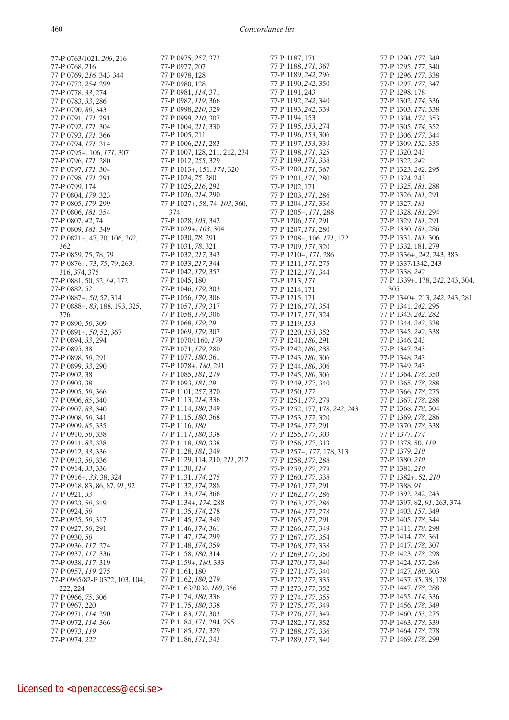77-P 0763/1021, *206*, 216 77-P 0768, 216 77-P 0769, *216*, 343-344 77-P 0773, *254*, 299 77-P 0778, *33*, 274 77-P 0783, *33*, 286 77-P 0790, *80*, 343 77-P 0791, *171*, 291 77-P 0792, *171*, 304 77-P 0793, *171*, 366 77-P 0794, *171*, 314 77-P 0795+, 106, *171*, 307 77-P 0796, *171*, 280 77-P 0797, *171*, 304 77-P 0798, *171*, 291 77-P 0799, 174 77-P 0804, *179*, 323 77-P 0805, *179*, 299 77-P 0806, *181*, 354 77-P 0807, *42*, 74 77-P 0809, *181*, 349 77-P 0821+, 47, 70, 106, *202*, 362 77-P 0859, 75, 78, 79 77-P 0876+, 73, *75*, 79, 263, 316, 374, 375 77-P 0881, 50, 52, *64*, 172 77-P 0882, 52 77-P 0887+, *50*, 52, 314 77-P 0888+, *83*, 188, 193, 325, 376 77-P 0890, *50*, 309 77-P 0891+, *50*, 52, 367 77-P 0894, *33*, 294 77-P 0895, 38 77-P 0898, *50*, 291 77-P 0899, *33*, 290 77-P 0902, 38 77-P 0903, 38 77-P 0905, *50*, 366 77-P 0906, *85*, 340 77-P 0907, *83*, 340 77-P 0908, *50*, 341 77-P 0909, *85*, 335 77-P 0910, *50*, 338 77-P 0911, *83*, 338 77-P 0912, *33*, 336 77-P 0913, *50*, 336 77-P 0914, *33*, 336 77-P 0916+, *33*, 38, 324 77-P 0918, 83, 86, 87, *91*, 92 77-P 0921, *33* 77-P 0923, *50*, 319 77-P 0924, *50* 77-P 0925, *50*, 317 77-P 0927, *50*, 291 77-P 0930, *50* 77-P 0936, *117*, 274 77-P 0937, *117*, 336 77-P 0938, *117*, 319 77-P 0957, *119*, 275 77-P 0965/82-P 0372, 103, 104, 222, 224 77-P 0966, *75*, 306 77-P 0967, 220 77-P 0971, *114*, 290 77-P 0972, *114*, 366 77-P 0973, *119* 77-P 0974, *222*

77-P 0975, *257*, 372 77-P 0977, 207 77-P 0978, 128 77-P 0980, 128 77-P 0981, *114*, 371 77-P 0982, *119*, 366 77-P 0998, *210*, 329 77-P 0999, *210*, 307 77-P 1004, *211*, 330 77-P 1005, 211 77-P 1006, *211*, 283 77-P 1007, 128, 211, 212, 234 77-P 1012, *255*, 329 77-P 1013+, 151, *174*, 320 77-P 1024, *75*, 280 77-P 1025, *216*, 292 77-P 1026, *214*, 290 77-P 1027+, 58, 74, *103*, 360, 374 77-P 1028, *103*, 342 77-P 1029+, *103*, 304 77-P 1030, *78*, 291 77-P 1031, *78*, 321 77-P 1032, *217*, 343 77-P 1033, *217*, 344 77-P 1042, *179*, 357 77-P 1045, 180 77-P 1046, *179*, 303 77-P 1056, *179*, 306 77-P 1057, *179*, 317 77-P 1058, *179*, 306 77-P 1068, *179*, 291 77-P 1069, *179*, 307 77-P 1070/1160, *179* 77-P 1071, *179*, 280 77-P 1077, *180*, 361 77-P 1078+, *180*, 291 77-P 1085, *181*, 279 77-P 1093, *181*, 291 77-P 1101, *257*, 370 77-P 1113, *214*, 336 77-P 1114, *180*, 349 77-P 1115, *180*, 368 77-P 1116, *180* 77-P 1117, *180*, 338 77-P 1118, *180*, 338 77-P 1128, *181*, 349 77-P 1129, 114, 210, *211*, 212 77-P 1130, *114* 77-P 1131, *174*, 275 77-P 1132, *174*, 288 77-P 1133, *174*, 366 77-P 1134+, *174*, 288 77-P 1135, *174*, 278 77-P 1145, *174*, 349 77-P 1146, *174*, 361 77-P 1147, *174*, 299 77-P 1148, *174*, 359 77-P 1158, *180*, 314 77-P 1159+, *180*, 333 77-P 1161, 180 77-P 1162, *180*, 279 77-P 1163/2030, *180*, 366 77-P 1174, *180*, 336 77-P 1175, *180*, 338 77-P 1183, *171*, 303 77-P 1184, *171*, 294, 295 77-P 1185, *171*, 329 77-P 1186, *171*, 343

77-P 1187, 171 77-P 1188, *171*, 367 77-P 1189, *242*, 296 77-P 1190, *242*, 350 77-P 1191, 243 77-P 1192, *242*, 340 77-P 1193, *242*, 339 77-P 1194, 153 77-P 1195, *153*, 274 77-P 1196, *153*, 306 77-P 1197, *153*, 339 77-P 1198, *171*, 325 77-P 1199, *171*, 338 77-P 1200, *171*, 367 77-P 1201, *171*, 280 77-P 1202, 171 77-P 1203, *171*, 286 77-P 1204, *171*, 338 77-P 1205+, *171*, 288 77-P 1206, *171*, 291 77-P 1207, *171*, 280 77-P 1208+, 106, *171*, 172 77-P 1209, *171*, 320 77-P 1210+, *171*, 286 77-P 1211, *171*, 275 77-P 1212, *171*, 344 77-P 1213, *171* 77-P 1214, 171 77-P 1215, 171 77-P 1216, *171*, 354 77-P 1217, *171*, 324 77-P 1219, *153* 77-P 1220, *153*, 352 77-P 1241, *180*, 291 77-P 1242, *180*, 288 77-P 1243, *180*, 306 77-P 1244, *180*, 306 77-P 1245, *180*, 306 77-P 1249, *177*, 340 77-P 1250, *177* 77-P 1251, *177*, 279 77-P 1252, 177, 178, *242*, 243 77-P 1253, *177*, 320 77-P 1254, *177*, 291 77-P 1255, *177*, 303 77-P 1256, *177*, 313 77-P 1257+, *177*, 178, 313 77-P 1258, *177*, 288 77-P 1259, *177*, 279 77-P 1260, *177*, 338 77-P 1261, *177*, 291 77-P 1262, *177*, 286 77-P 1263, *177*, 286 77-P 1264, *177*, 278 77-P 1265, *177*, 291 77-P 1266, *177*, 349 77-P 1267, *177*, 354 77-P 1268, *177*, 338 77-P 1269, *177*, 350 77-P 1270, *177*, 340 77-P 1271, *177*, 340 77-P 1272, *177*, 335 77-P 1273, *177*, 352 77-P 1274, *177*, 355 77-P 1275, *177*, 349 77-P 1276, *177*, 349 77-P 1282, *171*, 352 77-P 1288, *177*, 336 77-P 1289, *177*, 340

77-P 1290, *177*, 349 77-P 1295, *177*, 340 77-P 1296, *177*, 338 77-P 1297, *177*, 347 77-P 1298, 178 77-P 1302, *174*, 336 77-P 1303, *174*, 338 77-P 1304, *174*, 353 77-P 1305, *174*, 352 77-P 1306, *177*, 344 77-P 1309, *152*, 335 77-P 1320, 243 77-P 1322, *242* 77-P 1323, *242*, 295 77-P 1324, 243 77-P 1325, *181*, 288 77-P 1326, *181*, 291 77-P 1327, *181* 77-P 1328, *181*, 294 77-P 1329, *181*, 291 77-P 1330, *181*, 286 77-P 1331, *181*, 306 77-P 1332, 181, 279 77-P 1336+, *242*, 243, 383 77-P 1337/1342, 243 77-P 1338, *242* 77-P 1339+, 178, *242*, 243, 304, 305 77-P 1340+, 213, *242*, 243, 281 77-P 1341, *242*, 295 77-P 1343, *242*, 282 77-P 1344, *242*, 338 77-P 1345, *242*, 338 77-P 1346, 243 77-P 1347, 243 77-P 1348, 243 77-P 1349, 243 77-P 1364, *178*, 350 77-P 1365, *178*, 288 77-P 1366, *178*, 275 77-P 1367, *178*, 288 77-P 1368, *178*, 304 77-P 1369, *178*, 286 77-P 1370, *178*, 338 77-P 1377, *174* 77-P 1378, 50, *119* 77-P 1379, *210* 77-P 1380, *210* 77-P 1381, *210* 77-P 1382+, 52, *210* 77-P 1388, *91* 77-P 1392, 242, 243 77-P 1397, 82, *91*, 263, 374 77-P 1403, *157*, 349 77-P 1405, *178*, 344 77-P 1411, *178*, 298 77-P 1414, *178*, 361 77-P 1417, *178*, 307 77-P 1423, *178*, 298 77-P 1424, *157*, 286 77-P 1427, *180*, 303 77-P 1437, *35*, 38, 178 77-P 1447, *178*, 288 77-P 1455, *114*, 336 77-P 1456, *178*, 349 77-P 1460, *153*, 275 77-P 1463, *178*, 339 77-P 1464, *178*, 278 77-P 1469, *178*, 299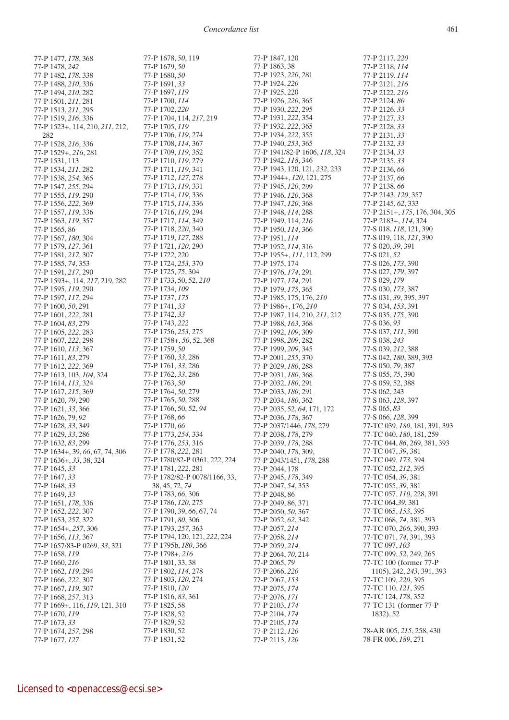77-P 1678, *50*, 119

77-P 1477, *178*, 368 77-P 1478, *242* 77-P 1482, *178*, 338 77-P 1488, *210*, 336 77-P 1494, *210*, 282 77-P 1501, *211*, 281 77-P 1513, *211*, 295 77-P 1519, *216*, 336 77-P 1523+, 114, 210, *211*, 212, 282 77-P 1528, *216*, 336 77-P 1529+, *216*, 281 77-P 1531, 113 77-P 1534, *211*, 282 77-P 1538, *254*, 365 77-P 1547, *255*, 294 77-P 1555, *119*, 290 77-P 1556, *222*, 369 77-P 1557, *119*, 336 77-P 1563, *119*, 357 77-P 1565, 86 77-P 1567, *180*, 304 77-P 1579, *127*, 361 77-P 1581, *217*, 307 77-P 1585, *74*, 353 77-P 1591, *217*, 290 77-P 1593+, 114, *217*, 219, 282 77-P 1595, *119*, 290 77-P 1597, *117*, 294 77-P 1600, *50*, 291 77-P 1601, *222*, 281 77-P 1604, *83*, 279 77-P 1605, *222*, 283 77-P 1607, *222*, 298 77-P 1610, *113*, 367 77-P 1611, *83*, 279 77-P 1612, *222*, 369 77-P 1613, 103, *104*, 324 77-P 1614, *113*, 324 77-P 1617, *215*, 369 77-P 1620, *79*, 290 77-P 1621, *33*, 366 77-P 1626, 79, *92* 77-P 1628, *33*, 349 77-P 1629, *33*, 286 77-P 1632, *83*, 299 77-P 1634+, 39, *66*, 67, 74, 306 77-P 1636+, *33*, 38, 324 77-P 1645, *33* 77-P 1647, *33* 77-P 1648, *33* 77-P 1649, *33* 77-P 1651, *178*, 336 77-P 1652, *222*, 307 77-P 1653, *257*, 322 77-P 1654+, *257*, 306 77-P 1656, *113*, 367 77-P 1657/83-P 0269, *33*, 321 77-P 1658, *119* 77-P 1660, *216* 77-P 1662, *119*, 294 77-P 1666, *222*, 307 77-P 1667, *119*, 307 77-P 1668, *257*, 313 77-P 1669+, 116, *119*, 121, 310 77-P 1670, *119* 77-P 1673, *33* 77-P 1674, *257*, 298 77-P 1677, *127*

77-P 1679, *50* 77-P 1680, *50* 77-P 1691, *33* 77-P 1697, *119* 77-P 1700, *114* 77-P 1702, *220* 77-P 1704, 114, *217*, 219 77-P 1705, *119* 77-P 1706, *119*, 274 77-P 1708, *114*, 367 77-P 1709, *119*, 352 77-P 1710, *119*, 279 77-P 1711, *119*, 341 77-P 1712, *127*, 278 77-P 1713, *119*, 331 77-P 1714, *119*, 336 77-P 1715, *114*, 336 77-P 1716, *119*, 294 77-P 1717, *114*, 349 77-P 1718, *220*, 340 77-P 1719, *127*, 288 77-P 1721, *120*, 290 77-P 1722, 220 77-P 1724, *253*, 370 77-P 1725, *75*, 304 77-P 1733, 50, 52, *210* 77-P 1734, *109* 77-P 1737, *175* 77-P 1741, *33* 77-P 1742, *33* 77-P 1743, *222* 77-P 1756, *253*, 275 77-P 1758+, *50*, 52, 368 77-P 1759, *50* 77-P 1760, *33*, 286 77-P 1761, *33*, 286 77-P 1762, *33*, 286 77-P 1763, *50* 77-P 1764, *50*, 279 77-P 1765, *50*, 288 77-P 1766, 50, 52, *94* 77-P 1768, *66* 77-P 1770, *66* 77-P 1773, *254*, 334 77-P 1776, *253*, 316 77-P 1778, *222*, 281 77-P 1780/82-P 0361, 222, 224 77-P 1781, *222*, 281 77-P 1782/82-P 0078/1166, 33, 38, 45, 72, *74* 77-P 1783, *66*, 306 77-P 1786, *120*, 275 77-P 1790, 39, *66*, 67, 74 77-P 1791, *80*, 306 77-P 1793, *257*, 363 77-P 1794, 120, 121, *222*, 224 77-P 1795b, *180*, 366 77-P 1798+, *216* 77-P 1801, 33, 38 77-P 1802, *114*, 278 77-P 1803, *120*, 274 77-P 1810, *120* 77-P 1816, *83*, 361 77-P 1825, 58 77-P 1828, 52 77-P 1829, 52 77-P 1830, 52 77-P 1831, 52

77-P 1847, 120 77-P 1863, 38 77-P 1923, *220*, 281 77-P 1924, *220* 77-P 1925, 220 77-P 1926, *220*, 365 77-P 1930, *222*, 295 77-P 1931, *222*, 354 77-P 1932, *222*, 365 77-P 1934, *222*, 355 77-P 1940, *253*, 365 77-P 1941/82-P 1606, *118*, 324 77-P 1942, *118*, 346 77-P 1943, 120, 121, *232*, 233 77-P 1944+, *120*, 121, 275 77-P 1945, *120*, 299 77-P 1946, *120*, 368 77-P 1947, *120*, 368 77-P 1948, *114*, 288 77-P 1949, 114, *216* 77-P 1950, *114*, 366 77-P 1951, *114* 77-P 1952, *114*, 316 77-P 1955+, *111*, 112, 299 77-P 1975, 174 77-P 1976, *174*, 291 77-P 1977, *174*, 291 77-P 1979, *175*, 365 77-P 1985, 175, 176, *210* 77-P 1986+, 176, *210* 77-P 1987, 114, 210, *211*, 212 77-P 1988, *163*, 368 77-P 1992, *109*, 309 77-P 1998, *209*, 282 77-P 1999, *209*, 345 77-P 2001, *255*, 370 77-P 2029, *180*, 288 77-P 2031, *180*, 368 77-P 2032, *180*, 291 77-P 2033, *180*, 291 77-P 2034, *180*, 362 77-P 2035, 52, *64*, 171, 172 77-P 2036, *178*, 367 77-P 2037/1446, *178*, 279 77-P 2038, *178*, 279 77-P 2039, *178*, 288 77-P 2040, *178*, 309, 77-P 2043/1451, *178*, 288 77-P 2044, 178 77-P 2045, *178*, 349 77-P 2047, *54*, 353 77-P 2048, 86 77-P 2049, 86, 371 77-P 2050, *50*, 367 77-P 2052, *62*, 342 77-P 2057, *214* 77-P 2058, *214* 77-P 2059, *214* 77-P 2064, *70*, 214 77-P 2065, *79* 77-P 2066, *220* 77-P 2067, *153* 77-P 2075, *174* 77-P 2076, *171* 77-P 2103, *174* 77-P 2104, *174* 77-P 2105, *174* 77-P 2112, *120* 77-P 2113, *120*

77-P 2117, *220* 77-P 2118, *114* 77-P 2119, *114* 77-P 2121, *216* 77-P 2122, *216* 77-P 2124, *80* 77-P 2126, *33* 77-P 2127, *33* 77-P 2128, *33* 77-P 2131, *33* 77-P 2132, *33* 77-P 2134, *33* 77-P 2135, *33* 77-P 2136, *66* 77-P 2137, *66* 77-P 2138, *66* 77-P 2143, *120*, 357 77-P 2145, *62*, 333 77-P 2151+, *175*, 176, 304, 305 77-P 2183+, *114*, 324 77-S 018, *118*, 121, 390 77-S 019, 118, *121*, 390 77-S 020, *39*, 391 77-S 021, *52* 77-S 026, *173*, 390 77-S 027, *179*, 397 77-S 029, *179* 77-S 030, *173*, 387 77-S 031, *39*, 395, 397 77-S 034, *153*, 391 77-S 035, *175*, 390 77-S 036, *93* 77-S 037, *111*, 390 77-S 038, *243* 77-S 039, *212*, 388 77-S 042, *180*, 389, 393 77-S 050, *79*, 387 77-S 055, *75*, 390 77-S 059, 52, 388 77-S 062, 243 77-S 063, *128*, 397 77-S 065, *83* 77-S 066, *128*, 399 77-TC 039, *180*, 181, 391, 393 77-TC 040, *180*, 181, 259 77-TC 044, *86*, 269, 381, 393 77-TC 047, *39*, 381 77-TC 049, *173*, 394 77-TC 052, *212*, 395 77-TC 054, *39*, 381 77-TC 055, *39*, 381 77-TC 057, *110*, 228, 391 77-TC 064,*39*, 381 77-TC 065, *153*, 395 77-TC 068, *74*, 381, 393 77-TC 070, *206*, 390, 393 77-TC 071, *74*, 391, 393 77-TC 097, *103* 77-TC 099, *52*, 249, 265 77-TC 100 (former 77-P 1105), 242, *243*, 391, 393 77-TC 109, *220*, 395 77-TC 110, *121*, 395 77-TC 124, *178*, 352 77-TC 131 (former 77-P 1832), 52

78-AR 005, *215*, 258, 430 78-FR 006, *189*, 271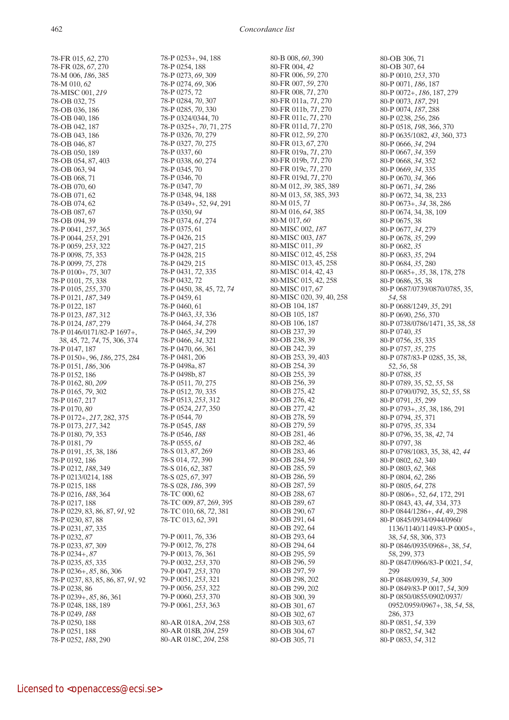78-FR 015, *62*, 270 78-FR 028, *67*, 270 78-M 006, *186*, 385 78-M 010, *62* 78-MISC 001, *219* 78-OB 032, 75 78-OB 036, 186 78-OB 040, 186 78-OB 042, 187 78-OB 043, 186 78-OB 046, 87 78-OB 050, 189 78-OB 054, 87, 403 78-OB 063, 94 78-OB 068, 71 78-OB 070, 60 78-OB 071, 62 78-OB 074, 62 78-OB 087, 67 78-OB 094, 39 78-P 0041, *257*, 365 78-P 0044, *253*, 291 78-P 0059, *253*, 322 78-P 0098, *75*, 353 78-P 0099, *75*, 278 78-P 0100+, *75*, 307 78-P 0101, *75*, 338 78-P 0105, *255*, 370 78-P 0121, *187*, 349 78-P 0122, 187 78-P 0123, *187*, 312 78-P 0124, *187*, 279 78-P 0146/0171/82-P 1697+, 38, 45, 72, *74*, 75, 306, 374 78-P 0147, 187 78-P 0150+, 96, *186*, 275, 284 78-P 0151, *186*, 306 78-P 0152, 186 78-P 0162, 80, *209* 78-P 0165, *79*, 302 78-P 0167, 217 78-P 0170, *80* 78-P 0172+, *217*, 282, 375 78-P 0173, *217*, 342 78-P 0180, *79*, 353 78-P 0181, *79* 78-P 0191, *35*, 38, 186 78-P 0192, 186 78-P 0212, *188*, 349 78-P 0213/0214, 188 78-P 0215, 188 78-P 0216, *188*, 364 78-P 0217, 188 78-P 0229, 83, 86, 87, *91*, 92 78-P 0230, 87, 88 78-P 0231, *87*, 335 78-P 0232, *87* 78-P 0233, *87*, 309 78-P 0234+, *87* 78-P 0235, *85*, 335 78-P 0236+, *85*, 86, 306 78-P 0237, 83, 85, 86, 87, *91*, 92 78-P 0238, 86 78-P 0239+, *85*, 86, 361 78-P 0248, 188, 189 78-P 0249, *188* 78-P 0250, 188 78-P 0251, 188 78-P 0252, *188*, 290

78-P 0253+, 94, 188 78-P 0254, 188 78-P 0273, *69*, 309 78-P 0274, *69*, 306 78-P 0275, 72 78-P 0284, *70*, 307 78-P 0285, *70*, 330 78-P 0324/0344, 70 78-P 0325+, *70*, 71, 275 78-P 0326, *70*, 279 78-P 0327, *70*, 275 78-P 0337, 60 78-P 0338, *60*, 274 78-P 0345, 70 78-P 0346, 70 78-P 0347, *70* 78-P 0348, 94, 188 78-P 0349+, 52, *94*, 291 78-P 0350, *94* 78-P 0374, *61*, 274 78-P 0375, 61 78-P 0426, 215 78-P 0427, 215 78-P 0428, 215 78-P 0429, 215 78-P 0431, *72*, 335 78-P 0432, 72 78-P 0450, 38, 45, 72, *74* 78-P 0459, 61 78-P 0460, 61 78-P 0463, *33*, 336 78-P 0464, *34*, 278 78-P 0465, *34*, 299 78-P 0466, *34*, 321 78-P 0470, *66*, 361 78-P 0481, 206 78-P 0498a, 87 78-P 0498b, 87 78-P 0511, *70*, 275 78-P 0512, *70*, 335 78-P 0513, *253*, 312 78-P 0524, *217*, 350 78-P 0544, *70* 78-P 0545, *188* 78-P 0546, *188* 78-P 0555, *61* 78-S 013, *87*, 269 78-S 014, *72*, 390 78-S 016, *62*, 387 78-S 025, *67*, 397 78-S 028, *186*, 399 78-TC 000, 62 78-TC 009, *87*, 269, 395 78-TC 010, 68, *72*, 381 78-TC 013, *62*, 391 79-P 0011, *76*, 336 79-P 0012, *76*, 278 79-P 0013, *76*, 361 79-P 0032, *253*, 370 79-P 0047, *253*, 370 79-P 0051, *253*, 321 79-P 0056, *253*, 322 79-P 0060, *253*, 370 79-P 0061, *253*, 363 80-AR 018A, *204*, 258 80-AR 018B, *204*, 259 80-AR 018C, *204*, 258

80-B 008, *60*, 390 80-FR 004, *42* 80-FR 006, *59*, 270 80-FR 007, *59*, 270 80-FR 008, *71*, 270 80-FR 011a, *71*, 270 80-FR 011b, *71*, 270 80-FR 011c, *71*, 270 80-FR 011d, *71*, 270 80-FR 012, *59*, 270 80-FR 013, *67*, 270 80-FR 019a, *71*, 270 80-FR 019b, *71*, 270 80-FR 019c, *71*, 270 80-FR 019d, *71*, 270 80-M 012, *39*, 385, 389 80-M 013, *58*, 385, 393 80-M 015, *71* 80-M 016, *64*, 385 80-M 017, *60* 80-MISC 002, *187* 80-MISC 003, *187* 80-MISC 011, *39* 80-MISC 012, 45, 258 80-MISC 013, 45, 258 80-MISC 014, 42, 43 80-MISC 015, 42, 258 80-MISC 017, *67* 80-MISC 020, 39, 40, 258 80-OB 104, 187 80-OB 105, 187 80-OB 106, 187 80-OB 237, 39 80-OB 238, 39 80-OB 242, 39 80-OB 253, 39, 403 80-OB 254, 39 80-OB 255, 39 80-OB 256, 39 80-OB 275, 42 80-OB 276, 42 80-OB 277, 42 80-OB 278, 59 80-OB 279, 59 80-OB 281, 46 80-OB 282, 46 80-OB 283, 46 80-OB 284, 59 80-OB 285, 59 80-OB 286, 59 80-OB 287, 59 80-OB 288, 67 80-OB 289, 67 80-OB 290, 67 80-OB 291, 64 80-OB 292, 64 80-OB 293, 64 80-OB 294, 64 80-OB 295, 59 80-OB 296, 59 80-OB 297, 59 80-OB 298, 202 80-OB 299, 202 80-OB 300, 39 80-OB 301, 67 80-OB 302, 67 80-OB 303, 67 80-OB 304, 67 80-OB 305, 71

80-OB 306, 71 80-OB 307, 64 80-P 0010, *253*, 370 80-P 0071, *186*, 187 80-P 0072+, *186*, 187, 279 80-P 0073, *187*, 291 80-P 0074, *187*, 288 80-P 0238, *256*, 286 80-P 0518, *198*, 366, 370 80-P 0635/1082, *43*, 360, 373 80-P 0666, *34*, 294 80-P 0667, *34*, 359 80-P 0668, *34*, 352 80-P 0669, *34*, 335 80-P 0670, *34*, 366 80-P 0671, *34*, 286 80-P 0672, 34, 38, 233 80-P 0673+, *34*, 38, 286 80-P 0674, 34, 38, 109 80-P 0675, 38 80-P 0677, *34*, 279 80-P 0678, *35*, 299 80-P 0682, *35* 80-P 0683, *35*, 294 80-P 0684, *35*, 280 80-P 0685+, *35*, 38, 178, 278 80-P 0686, 35, 38 80-P 0687/0739/0870/0785, 35, *54*, 58 80-P 0688/1249, *35*, 291 80-P 0690, *256*, 370 80-P 0738/0786/1471, 35, 38, *58* 80-P 0740, *35* 80-P 0756, *35*, 335 80-P 0757, *35*, 275 80-P 0787/83-P 0285, 35, 38, 52, *56*, 58 80-P 0788, *35* 80-P 0789, 35, 52, *55*, 58 80-P 0790/0792, 35, 52, *55*, 58 80-P 0791, *35*, 299 80-P 0793+, *35*, 38, 186, 291 80-P 0794, *35*, 371 80-P 0795, *35*, 334 80-P 0796, 35, 38, *42*, 74 80-P 0797, 38 80-P 0798/1083, 35, 38, 42, *44* 80-P 0802, *62*, 340 80-P 0803, *62*, 368 80-P 0804, *62*, 286 80-P 0805, *64*, 278 80-P 0806+, 52, *64*, 172, 291 80-P 0843, 43, *44*, 334, 373 80-P 0844/1286+, *44*, 49, 298 80-P 0845/0934/0944/0960/ 1136/1140/1149/83-P 0005+, 38, *54*, 58, 306, 373 80-P 0846/0935/0968+, 38, *54*, 58, 299, 373 80-P 0847/0966/83-P 0021, *54*, 299 80-P 0848/0939, *54*, 309 80-P 0849/83-P 0017, *54*, 309 80-P 0850/0855/0902/0937/ 0952/0959/0967+, 38, *54*, 58, 286, 373 80-P 0851, *54*, 339 80-P 0852, *54*, 342 80-P 0853, *54*, 312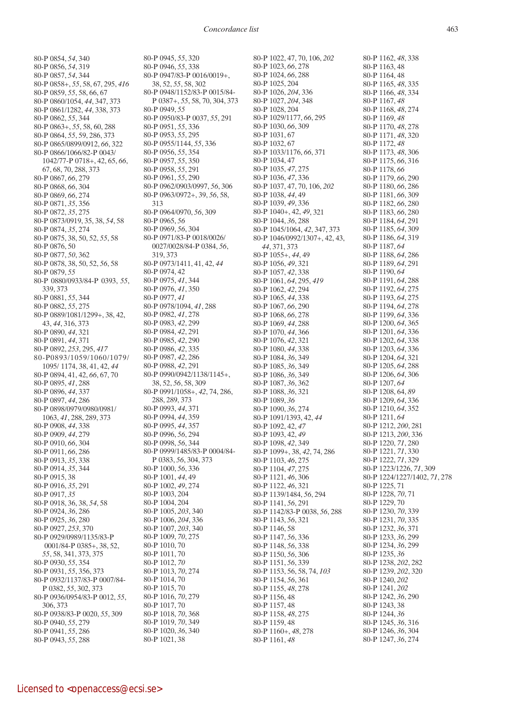80-P 0854, *54*, 340 80-P 0856, *54*, 319 80-P 0857, *54*, 344 80-P 0858+, *55*, 58, 67, 295, *416* 80-P 0859, *55*, 58, 66, 67 80-P 0860/1054, *44*, 347, 373 80-P 0861/1282, *44*, 338, 373 80-P 0862, *55*, 344 80-P 0863+, *55*, 58, 60, 288 80-P 0864, *55*, 59, 286, 373 80-P 0865/0899/0912, *66*, 322 80-P 0866/1066/82-P 0043/ 1042/77-P 0718+, 42, 65, *66*, 67, 68, 70, 288, 373 80-P 0867, *66*, 279 80-P 0868, *66*, 304 80-P 0869, *66*, 274 80-P 0871, *35*, 356 80-P 0872, *35*, 275 80-P 0873/0919, 35, 38, *54*, 58 80-P 0874, *35*, 274 80-P 0875, 38, 50, 52, *55*, 58 80-P 0876, 50 80-P 0877, *50*, 362 80-P 0878, 38, 50, 52, *56*, 58 80-P 0879, *55* 80-P 0880/0933/84-P 0393, *55*, 339, 373 80-P 0881, *55*, 344 80-P 0882, *55*, 275 80-P 0889/1081/1299+, 38, 42, 43, *44*, 316, 373 80-P 0890, *44*, 321 80-P 0891, *44*, 371 80-P 0892, *253*, 295, *417* 80-P0893/1059/1060/1079/ 1095/ 1174, 38, 41, 42, *44* 80-P 0894, 41, 42, *66*, 67, 70 80-P 0895, *41*, 288 80-P 0896, *44*, 337 80-P 0897, *44*, 286 80-P 0898/0979/0980/0981/ 1063, *41*, 288, 289, 373 80-P 0908, *44*, 338 80-P 0909, *44*, 279 80-P 0910, *66*, 304 80-P 0911, *66*, 286 80-P 0913, *35*, 338 80-P 0914, *35*, 344 80-P 0915, 38 80-P 0916, *35*, 291 80-P 0917, *35* 80-P 0918, 36, 38, *54*, 58 80-P 0924, *36*, 286 80-P 0925, *36*, 280 80-P 0927, *253*, 370 80-P 0929/0989/1135/83-P 0001/84-P 0385+, 38, 52, *55*, 58, 341, 373, 375 80-P 0930, *55*, 354 80-P 0931, *55*, 356, 373 80-P 0932/1137/83-P 0007/84- P 0382, *55*, 302, 373 80-P 0936/0954/83-P 0012, *55*, 306, 373 80-P 0938/83-P 0020, *55*, 309 80-P 0940, *55*, 279 80-P 0941, *55*, 286 80-P 0943, *55*, 288

80-P 0945, *55*, 320 80-P 0946, *55*, 338 80-P 0947/83-P 0016/0019+, 38, 52, *55*, 58, 302 80-P 0948/1152/83-P 0015/84- P 0387+, *55*, 58, 70, 304, 373 80-P 0949, *55* 80-P 0950/83-P 0037, *55*, 291 80-P 0951, *55*, 336 80-P 0953, *55*, 295 80-P 0955/1144, *55*, 336 80-P 0956, *55*, 354 80-P 0957, *55*, 350 80-P 0958, *55*, 291 80-P 0961, *55*, 290 80-P 0962/0903/0997, *56*, 306 80-P 0963/0972+, 39, *56*, 58, 313 80-P 0964/0970, *56*, 309 80-P 0965, *56* 80-P 0969, *56*, 304 80-P 0971/83-P 0018/0026/ 0027/0028/84-P 0384, *56*, 319, 373 80-P 0973/1411, 41, 42, *44* 80-P 0974, 42 80-P 0975, *41*, 344 80-P 0976, *41*, 350 80-P 0977, *41* 80-P 0978/1094, *41*, 288 80-P 0982, *41*, 278 80-P 0983, *42*, 299 80-P 0984, *42*, 291 80-P 0985, *42*, 290 80-P 0986, *42*, 335 80-P 0987, *42*, 286 80-P 0988, *42*, 291 80-P 0990/0942/1138/1145+, 38, 52, *56*, 58, 309 80-P 0991/1058+, *42*, 74, 286, 288, 289, 373 80-P 0993, *44*, 371 80-P 0994, *44*, 359 80-P 0995, *44*, 357 80-P 0996, *56*, 294 80-P 0998, *56*, 344 80-P 0999/1485/83-P 0004/84- P 0383, *56*, 304, 373 80-P 1000, *56*, 336 80-P 1001, *44*, 49 80-P 1002, *49*, 274 80-P 1003, 204 80-P 1004, 204 80-P 1005, *203*, 340 80-P 1006, *204*, 336 80-P 1007, *203*, 340 80-P 1009, *70*, 275 80-P 1010, 70 80-P 1011, 70 80-P 1012, *70* 80-P 1013, *70*, 274 80-P 1014, 70 80-P 1015, 70 80-P 1016, *70*, 279 80-P 1017, 70 80-P 1018, *70*, 368 80-P 1019, *70*, 349 80-P 1020, *36*, 340 80-P 1021, 38

80-P 1022, 47, 70, 106, *202* 80-P 1023, *66*, 278 80-P 1024, *66*, 288 80-P 1025, 204 80-P 1026, *204*, 336 80-P 1027, *204*, 348 80-P 1028, 204 80-P 1029/1177, *66*, 295 80-P 1030, *66*, 309 80-P 1031, 67 80-P 1032, 67 80-P 1033/1176, *66*, 371 80-P 1034, 47 80-P 1035, *47*, 275 80-P 1036, *47*, 336 80-P 1037, 47, 70, 106, *202* 80-P 1038, *44*, 49 80-P 1039, *49*, 336 80-P 1040+, 42, *49*, 321 80-P 1044, *36*, 288 80-P 1045/1064, *42*, 347, 373 80-P 1046/0992/1307+, 42, 43, *44*, 371, 373 80-P 1055+, *44*, 49 80-P 1056, *49*, 321 80-P 1057, *42*, 338 80-P 1061, *64*, 295, *419* 80-P 1062, *42*, 294 80-P 1065, *44*, 338 80-P 1067, *66*, 290 80-P 1068, *66*, 278 80-P 1069, *44*, 288 80-P 1070, *44*, 366 80-P 1076, *42*, 321 80-P 1080, *44*, 338 80-P 1084, *36*, 349 80-P 1085, *36*, 349 80-P 1086, *36*, 349 80-P 1087, *36*, 362 80-P 1088, *36*, 321 80-P 1089, *36* 80-P 1090, *36*, 274 80-P 1091/1393, 42, *44* 80-P 1092, 42, *47* 80-P 1093, 42, *49* 80-P 1098, *42*, 349 80-P 1099+, 38, *42*, 74, 286 80-P 1103, *46*, 275 80-P 1104, *47*, 275 80-P 1121, *46*, 306 80-P 1122, *46*, 321 80-P 1139/1484, *56*, 294 80-P 1141, *56*, 291 80-P 1142/83-P 0038, *56*, 288 80-P 1143, *56*, 321 80-P 1146, 58 80-P 1147, *56*, 336 80-P 1148, *56*, 338 80-P 1150, *56*, 306 80-P 1151, *56*, 339 80-P 1153, 56, 58, 74, *103* 80-P 1154, *56*, 361 80-P 1155, *48*, 278 80-P 1156, 48 80-P 1157, 48 80-P 1158, *48*, 275 80-P 1159, 48 80-P 1160+, *48*, 278 80-P 1161, *48*

80-P 1162, *48*, 338 80-P 1163, 48 80-P 1164, 48 80-P 1165, *48*, 335 80-P 1166, *48*, 334 80-P 1167, *48* 80-P 1168, *48*, 274 80-P 1169, *48* 80-P 1170, *48*, 278 80-P 1171, *48*, 320 80-P 1172, *48* 80-P 1173, *48*, 306 80-P 1175, *66*, 316 80-P 1178, *66* 80-P 1179, *66*, 290 80-P 1180, *66*, 286 80-P 1181, *66*, 309 80-P 1182, *66*, 280 80-P 1183, *66*, 280 80-P 1184, *64*, 291 80-P 1185, *64*, 309 80-P 1186, *64*, 319 80-P 1187, *64* 80-P 1188, *64*, 286 80-P 1189, *64*, 291 80-P 1190, *64* 80-P 1191, *64*, 288 80-P 1192, *64*, 275 80-P 1193, *64*, 275 80-P 1194, *64*, 278 80-P 1199, *64*, 336 80-P 1200, *64*, 365 80-P 1201, *64*, 336 80-P 1202, *64*, 338 80-P 1203, *64*, 336 80-P 1204, *64*, 321 80-P 1205, *64*, 288 80-P 1206, *64*, 306 80-P 1207, *64* 80-P 1208, 64, *89* 80-P 1209, *64*, 336 80-P 1210, *64*, 352 80-P 1211, *64* 80-P 1212, *200*, 281 80-P 1213, *200*, 336 80-P 1220, *71*, 280 80-P 1221, *71*, 330 80-P 1222, *71*, 329 80-P 1223/1226, *71*, 309 80-P 1224/1227/1402, *71*, 278 80-P 1225, 71 80-P 1228, *70*, 71 80-P 1229, 70 80-P 1230, *70*, 339 80-P 1231, *70*, 335 80-P 1232, *36*, 371 80-P 1233, *36*, 299 80-P 1234, *36*, 299 80-P 1235, *36* 80-P 1238, *202*, 282 80-P 1239, *202*, 320 80-P 1240, *202* 80-P 1241, *202* 80-P 1242, *36*, 290 80-P 1243, 38 80-P 1244, *36* 80-P 1245, *36*, 316 80-P 1246, *36*, 304 80-P 1247, *36*, 274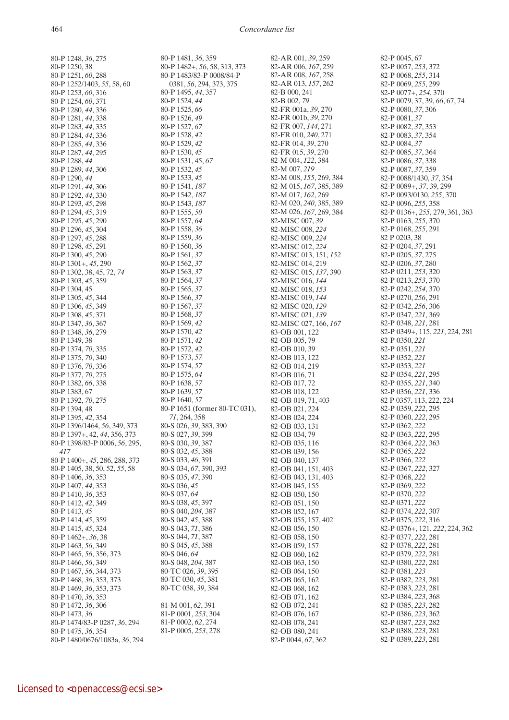80-P 1248, *36*, 275 80-P 1250, 38 80-P 1251, *60*, 288 80-P 1252/1403, *55*, 58, 60 80-P 1253, *60*, 316 80-P 1254, *60*, 371 80-P 1280, *44*, 336 80-P 1281, *44*, 338 80-P 1283, *44*, 335 80-P 1284, *44*, 336 80-P 1285, *44*, 336 80-P 1287, *44*, 295 80-P 1288, *44* 80-P 1289, *44*, 306 80-P 1290, *44* 80-P 1291, *44*, 306 80-P 1292, *44*, 330 80-P 1293, *45*, 298 80-P 1294, *45*, 319 80-P 1295, *45*, 290 80-P 1296, *45*, 304 80-P 1297, *45*, 288 80-P 1298, *45*, 291 80-P 1300, *45*, 290 80-P 1301+, *45*, 290 80-P 1302, 38, 45, 72, *74* 80-P 1303, *45*, 359 80-P 1304, 45 80-P 1305, *45*, 344 80-P 1306, *45*, 349 80-P 1308, *45*, 371 80-P 1347, *36*, 367 80-P 1348, *36*, 279 80-P 1349, 38 80-P 1374, *70*, 335 80-P 1375, *70*, 340 80-P 1376, *70*, 336 80-P 1377, *70*, 275 80-P 1382, *66*, 338 80-P 1383, 67 80-P 1392, *70*, 275 80-P 1394, 48 80-P 1395, *42*, 354 80-P 1396/1464, *56*, 349, 373 80-P 1397+, 42, *44*, 356, 373 80-P 1398/83-P 0006, *56*, 295, *417* 80-P 1400+, *45*, 286, 288, 373 80-P 1405, 38, 50, 52, *55*, 58 80-P 1406, *36*, 353 80-P 1407, *44*, 353 80-P 1410, *36*, 353 80-P 1412, *42*, 349 80-P 1413, *45* 80-P 1414, *45*, 359 80-P 1415, *45*, 324 80-P 1462+, *36*, 38 80-P 1463, *56*, 349 80-P 1465, *56*, 356, 373 80-P 1466, *56*, 349 80-P 1467, *56*, 344, 373 80-P 1468, *36*, 353, 373 80-P 1469, *36*, 353, 373 80-P 1470, *36*, 353 80-P 1472, *36*, 306 80-P 1473, *36* 80-P 1474/83-P 0287, *36*, 294 80-P 1475, *36*, 354 80-P 1480/0676/1083a, *36*, 294

80-P 1481, *36*, 359 80-P 1482+, *56*, 58, 313, 373 80-P 1483/83-P 0008/84-P 0381, *56*, 294, 373, 375 80-P 1495, *44*, 357 80-P 1524, *44* 80-P 1525, *66* 80-P 1526, *49* 80-P 1527, *67* 80-P 1528, *42* 80-P 1529, *42* 80-P 1530, *45* 80-P 1531, 45, *67* 80-P 1532, *45* 80-P 1533, *45* 80-P 1541, *187* 80-P 1542, *187* 80-P 1543, *187* 80-P 1555, *50* 80-P 1557, *64* 80-P 1558, *36* 80-P 1559, *36* 80-P 1560, *36* 80-P 1561, *37* 80-P 1562, *37* 80-P 1563, *37* 80-P 1564, *37* 80-P 1565, *37* 80-P 1566, *37* 80-P 1567, *37* 80-P 1568, *37* 80-P 1569, *42* 80-P 1570, *42* 80-P 1571, *42* 80-P 1572, *42* 80-P 1573, *57* 80-P 1574, *57* 80-P 1575, *64* 80-P 1638, *57* 80-P 1639, *57* 80-P 1640, *57* 80-P 1651 (former 80-TC 031), *71*, 264, 358 80-S 026, *39*, 383, 390 80-S 027, *39*, 399 80-S 030, *39*, 387 80-S 032, *45*, 388 80-S 033, *46*, 391 80-S 034, *67*, 390, 393 80-S 035, *47*, 390 80-S 036, *45* 80-S 037, *64* 80-S 038, *45*, 397 80-S 040, *204*, 387 80-S 042, *45*, 388 80-S 043, *71*, 386 80-S 044, *71*, 387 80-S 045, *45*, 388 80-S 046, *64* 80-S 048, *204*, 387 80-TC 026, *39*, 395 80-TC 030, *45*, 381 80-TC 038, *39*, 384 81-M 001, *62*, 391 81-P 0001, *253*, 304 81-P 0002, *62*, 274 81-P 0005, *253*, 278

82-AR 001, *39*, 259 82-AR 006, *167*, 259 82-AR 008, *167*, 258 82-AR 013, *157*, 262 82-B 000, 241 82-B 002, *79* 82-FR 001a, *39*, 270 82-FR 001b, *39*, 270 82-FR 007, *144*, 271 82-FR 010, *240*, 271 82-FR 014, *39*, 270 82-FR 015, *39*, 270 82-M 004, *122*, 384 82-M 007, *219* 82-M 008, *155*, 269, 384 82-M 015, *167*, 385, 389 82-M 017, *162*, 269 82-M 020, *240*, 385, 389 82-M 026, *167*, 269, 384 82-MISC 007, *39* 82-MISC 008, *224* 82-MISC 009, *224* 82-MISC 012, *224* 82-MISC 013, 151, *152* 82-MISC 014, 219 82-MISC 015, *137*, 390 82-MISC 016, *144* 82-MISC 018, *153* 82-MISC 019, *144* 82-MISC 020, *129* 82-MISC 021, *139* 82-MISC 027, 166, *167* 83-OB 001, 122 82-OB 005, 79 82-OB 010, 39 82-OB 013, 122 82-OB 014, 219 82-OB 016, 71 82-OB 017, 72 82-OB 018, 122 82-OB 019, 71, 403 82-OB 021, 224 82-OB 024, 224 82-OB 033, 131 82-OB 034, 79 82-OB 035, 116 82-OB 039, 156 82-OB 040, 137 82-OB 041, 151, 403 82-OB 043, 131, 403 82-OB 045, 155 82-OB 050, 150 82-OB 051, 150 82-OB 052, 167 82-OB 055, 157, 402 82-OB 056, 150 82-OB 058, 150 82-OB 059, 157 82-OB 060, 162 82-OB 063, 150 82-OB 064, 150 82-OB 065, 162 82-OB 068, 162 82-OB 071, 162 82-OB 072, 241 82-OB 076, 167 82-OB 078, 241 82-OB 080, 241 82-P 0044, *67*, 362

82-P 0045, 67 82-P 0057, *253*, 372 82-P 0068, *255*, 314 82-P 0069, *255*, 299 82-P 0077+, *254*, 370 82-P 0079, 37, 39, *66*, 67, 74 82-P 0080, *37*, 306 82-P 0081, *37* 82-P 0082, *37*, 353 82-P 0083, *37*, 354 82-P 0084, *37* 82-P 0085, *37*, 364 82-P 0086, *37*, 338 82-P 0087, *37*, 359 82-P 0088/1430, *37*, 354 82-P 0089+, *37*, 39, 299 82-P 0093/0130, *255*, 370 82-P 0096, *255*, 358 82-P 0136+, *255*, 279, 361, 363 82-P 0163, *255*, 370 82-P 0168, *255*, 291 82 P 0203, 38 82-P 0204, *37*, 291 82-P 0205, *37*, 275 82-P 0206, *37*, 280 82-P 0211, *253*, 320 82-P 0213, *253*, 370 82-P 0242, *254*, 370 82-P 0270, *256*, 291 82-P 0342, *256*, 306 82-P 0347, *221*, 369 82-P 0348, *221*, 281 82-P 0349+, 115, *221*, 224, 281 82-P 0350, *221* 82-P 0351, *221* 82-P 0352, *221* 82-P 0353, *221* 82-P 0354, *221*, 295 82-P 0355, *221*, 340 82-P 0356, *221*, 336 82 P 0357, 113, 222, 224 82-P 0359, *222*, 295 82-P 0360, *222*, 295 82-P 0362, *222* 82-P 0363, *222*, 295 82-P 0364, *222*, 363 82-P 0365, *222* 82-P 0366, *222* 82-P 0367, *222*, 327 82-P 0368, *222* 82-P 0369, *222* 82-P 0370, *222* 82-P 0371, *222* 82-P 0374, *222*, 307 82-P 0375, *222*, 316 82-P 0376+, 121, *222*, 224, 362 82-P 0377, *222*, 281 82-P 0378, *222*, 281 82-P 0379, *222*, 281 82-P 0380, *222*, 281 82-P 0381, *223* 82-P 0382, *223*, 281 82-P 0383, *223*, 281 82-P 0384, *223*, 368 82-P 0385, *223*, 282 82-P 0386, *223*, 362 82-P 0387, *223*, 282 82-P 0388, *223*, 281 82-P 0389, *223*, 281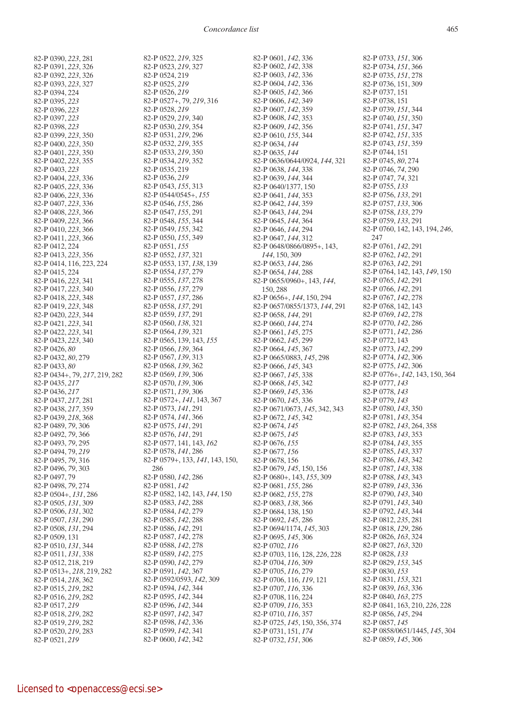82-P 0390, *223*, 281 82-P 0391, *223*, 326 82-P 0392, *223*, 326 82-P 0393, *223*, 327 82-P 0394, 224 82-P 0395, *223* 82-P 0396, *223* 82-P 0397, *223* 82-P 0398, *223* 82-P 0399, *223*, 350 82-P 0400, *223*, 350 82-P 0401, *223*, 350 82-P 0402, *223*, 355 82-P 0403, *223* 82-P 0404, *223*, 336 82-P 0405, *223*, 336 82-P 0406, *223*, 336 82-P 0407, *223*, 336 82-P 0408, *223*, 366 82-P 0409, *223*, 366 82-P 0410, *223*, 366 82-P 0411, *223*, 366 82-P 0412, 224 82-P 0413, *223*, 356 82-P 0414, 116, 223, 224 82-P 0415, 224 82-P 0416, *223*, 341 82-P 0417, *223*, 340 82-P 0418, *223*, 348 82-P 0419, *223*, 348 82-P 0420, *223*, 344 82-P 0421, *223*, 341 82-P 0422, *223*, 341 82-P 0423, *223*, 340 82-P 0426, *80* 82-P 0432, *80*, 279 82-P 0433, *80* 82-P 0434+, 79, *217*, 219, 282 82-P 0435, *217* 82-P 0436, *217* 82-P 0437, *217*, 281 82-P 0438, *217*, 359 82-P 0439, *218*, 368 82-P 0489, *79*, 306 82-P 0492, *79*, 366 82-P 0493, *79*, 295 82-P 0494, 79, *219* 82-P 0495, *79*, 316 82-P 0496, *79*, 303 82-P 0497, 79 82-P 0498, *79*, 274 82-P 0504+, *131*, 286 82-P 0505, *131*, 309 82-P 0506, *131*, 302 82-P 0507, *131*, 290 82-P 0508, *131*, 294 82-P 0509, 131 82-P 0510, *131*, 344 82-P 0511, *131*, 338 82-P 0512, 218, 219 82-P 0513+, *218*, 219, 282 82-P 0514, *218*, 362 82-P 0515, *219*, 282 82-P 0516, *219*, 282 82-P 0517, *219* 82-P 0518, *219*, 282 82-P 0519, *219*, 282 82-P 0520, *219*, 283 82-P 0521, *219*

82-P 0522, *219*, 325 82-P 0523, *219*, 327 82-P 0524, 219 82-P 0525, *219* 82-P 0526, *219* 82-P 0527+, 79, *219*, 316 82-P 0528, *219* 82-P 0529, *219*, 340 82-P 0530, *219*, 354 82-P 0531, *219*, 296 82-P 0532, *219*, 355 82-P 0533, *219*, 350 82-P 0534, *219*, 352 82-P 0535, 219 82-P 0536, *219* 82-P 0543, *155*, 313 82-P 0544/0545+, *155* 82-P 0546, *155*, 286 82-P 0547, *155*, 291 82-P 0548, *155*, 344 82-P 0549, *155*, 342 82-P 0550, *155*, 349 82-P 0551, *155* 82-P 0552, *137*, 321 82-P 0553, 137, *138*, 139 82-P 0554, *137*, 279 82-P 0555, *137*, 278 82-P 0556, *137*, 279 82-P 0557, *137*, 286 82-P 0558, *137*, 291 82-P 0559, *137*, 291 82-P 0560, *138*, 321 82-P 0564, *139*, 321 82-P 0565, 139, 143, *155* 82-P 0566, *139*, 364 82-P 0567, *139*, 313 82-P 0568, *139*, 362 82-P 0569, *139*, 306 82-P 0570, *139*, 306 82-P 0571, *139*, 306 82-P 0572+, *141*, 143, 367 82-P 0573, *141*, 291 82-P 0574, *141*, 366 82-P 0575, *141*, 291 82-P 0576, *141*, 291 82-P 0577, 141, 143, *162* 82-P 0578, *141*, 286 82-P 0579+, 133, *141*, 143, 150, 286 82-P 0580, *142*, 286 82-P 0581, *142* 82-P 0582, 142, 143, *144*, 150 82-P 0583, *142*, 288 82-P 0584, *142*, 279 82-P 0585, *142*, 288 82-P 0586, *142*, 291 82-P 0587, *142*, 278 82-P 0588, *142*, 278 82-P 0589, *142*, 275 82-P 0590, *142*, 279 82-P 0591, *142*, 367 82-P 0592/0593, *142*, 309 82-P 0594, *142*, 344 82-P 0595, *142*, 344 82-P 0596, *142*, 344 82-P 0597, *142*, 347 82-P 0598, *142*, 336 82-P 0599, *142*, 341 82-P 0600, *142*, 342

82-P 0601, *142*, 336 82-P 0602, *142*, 338 82-P 0603, *142*, 336 82-P 0604, *142*, 336 82-P 0605, *142*, 366 82-P 0606, *142*, 349 82-P 0607, *142*, 359 82-P 0608, *142*, 353 82-P 0609, *142*, 356 82-P 0610, *155*, 344 82-P 0634, *144* 82-P 0635, *144* 82-P 0636/0644/0924, *144*, 321 82-P 0638, *144*, 338 82-P 0639, *144*, 344 82-P 0640/1377, 150 82-P 0641, *144*, 353 82-P 0642, *144*, 359 82-P 0643, *144*, 294 82-P 0645, *144*, 364 82-P 0646, *144*, 294 82-P 0647, *144*, 312 82-P 0648/0866/0895+, 143, *144*, 150, 309 82-P 0653, *144*, 286 82-P 0654, *144*, 288 82-P 0655/0960+, 143, *144*, 150, 288 82-P 0656+, *144*, 150, 294 82-P 0657/0855/1373, *144*, 291 82-P 0658, *144*, 291 82-P 0660, *144*, 274 82-P 0661, *145*, 275 82-P 0662, *145*, 299 82-P 0664, *145*, 367 82-P 0665/0883, *145*, 298 82-P 0666, *145*, 343 82-P 0667, *145*, 338 82-P 0668, *145*, 342 82-P 0669, *145*, 336 82-P 0670, *145*, 336 82-P 0671/0673, *145*, 342, 343 82-P 0672, *145*, 342 82-P 0674, *145* 82-P 0675, *145* 82-P 0676, *155* 82-P 0677, *156* 82-P 0678, 156 82-P 0679, *145*, 150, 156 82-P 0680+, 143, *155*, 309 82-P 0681, *155*, 286 82-P 0682, *155*, 278 82-P 0683, *138*, 366 82-P 0684, 138, 150 82-P 0692, *145*, 286 82-P 0694/1174, *145*, 303 82-P 0695, *145*, 306 82-P 0702, *116* 82-P 0703, 116, 128, *226*, 228 82-P 0704, *116*, 309 82-P 0705, *116*, 279 82-P 0706, 116, *119*, 121 82-P 0707, *116*, 336 82-P 0708, 116, 224 82-P 0709, *116*, 353 82-P 0710, *116*, 357 82-P 0725, *145*, 150, 356, 374 82-P 0731, 151, *174* 82-P 0732, *151*, 306

82-P 0733, *151*, 306 82-P 0734, *151*, 366 82-P 0735, *151*, 278 82-P 0736, 151, 309 82-P 0737, 151 82-P 0738, 151 82-P 0739, *151*, 344 82-P 0740, *151*, 350 82-P 0741, *151*, 347 82-P 0742, *151*, 335 82-P 0743, *151*, 359 82-P 0744, 151 82-P 0745, *80*, 274 82-P 0746, *74*, 290 82-P 0747, *74*, 321 82-P 0755, *133* 82-P 0756, *133*, 291 82-P 0757, *133*, 306 82-P 0758, *133*, 279 82-P 0759, *133*, 291 82-P 0760, 142, 143, 194, *246*, 247 82-P 0761, *142*, 291 82-P 0762, *142*, 291 82-P 0763, *142*, 291 82-P 0764, 142, 143, *149*, 150 82-P 0765, *142*, 291 82-P 0766, *142*, 291 82-P 0767, *142*, 278 82-P 0768, 142, 143 82-P 0769, *142*, 278 82-P 0770, *142*, 286 82-P 0771, *142*, 286 82-P 0772, 143 82-P 0773, *142*, 299 82-P 0774, *142*, 306 82-P 0775, *142*, 306 82-P 0776+, *142*, 143, 150, 364 82-P 0777, *143* 82-P 0778, *143* 82-P 0779, *143* 82-P 0780, *143*, 350 82-P 0781, *143*, 354 82-P 0782, *143*, 264, 358 82-P 0783, *143*, 353 82-P 0784, *143*, 355 82-P 0785, *143*, 337 82-P 0786, *143*, 342 82-P 0787, *143*, 338 82-P 0788, *143*, 343 82-P 0789, *143*, 336 82-P 0790, *143*, 340 82-P 0791, *143*, 340 82-P 0792, *143*, 344 82-P 0812, *235*, 281 82-P 0818, *129*, 286 82-P 0826, *163*, 324 82-P 0827, *163*, 320 82-P 0828, *133* 82-P 0829, *153*, 345 82-P 0830, *153* 82-P 0831, *153*, 321 82-P 0839, *163*, 336 82-P 0840, *163*, 275 82-P 0841, 163, 210, *226*, 228 82-P 0856, *145*, 294 82-P 0857, *145* 82-P 0858/0651/1445, *145*, 304 82-P 0859, *145*, 306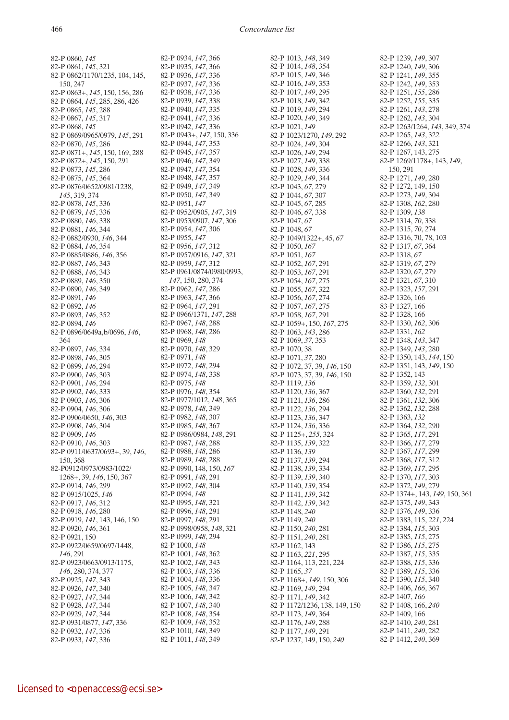82-P 0860, *145* 82-P 0861, *145*, 321 82-P 0862/1170/1235, 104, 145, 150, 247 82-P 0863+, *145*, 150, 156, 286 82-P 0864, *145*, 285, 286, 426 82-P 0865, *145*, 288 82-P 0867, *145*, 317 82-P 0868, *145* 82-P 0869/0965/0979, *145*, 291 82-P 0870, *145*, 286 82-P 0871+, *145*, 150, 169, 288 82-P 0872+, *145*, 150, 291 82-P 0873, *145*, 286 82-P 0875, *145*, 364 82-P 0876/0652/0981/1238, *145*, 319, 374 82-P 0878, *145*, 336 82-P 0879, *145*, 336 82-P 0880, *146*, 338 82-P 0881, *146*, 344 82-P 0882/0930, *146*, 344 82-P 0884, *146*, 354 82-P 0885/0886, *146*, 356 82-P 0887, *146*, 343 82-P 0888, *146*, 343 82-P 0889, *146*, 350 82-P 0890, *146*, 349 82-P 0891, *146* 82-P 0892, *146* 82-P 0893, *146*, 352 82-P 0894, *146* 82-P 0896/0649a,b/0696, *146*, 364 82-P 0897, *146*, 334 82-P 0898, *146*, 305 82-P 0899, *146*, 294 82-P 0900, *146*, 303 82-P 0901, *146*, 294 82-P 0902, *146*, 333 82-P 0903, *146*, 306 82-P 0904, *146*, 306 82-P 0906/0650, *146*, 303 82-P 0908, *146*, 304 82-P 0909, *146* 82-P 0910, *146*, 303 82-P 0911/0637/0693+, 39, *146*, 150, 368 82-P0912/0973/0983/1022/ 1268+, 39, *146*, 150, 367 82-P 0914, *146*, 299 82-P 0915/1025, *146* 82-P 0917, *146*, 312 82-P 0918, *146*, 280 82-P 0919, *141*, 143, 146, 150 82-P 0920, *146*, 361 82-P 0921, 150 82-P 0922/0659/0697/1448, *146*, 291 82-P 0923/0663/0913/1175, *146*, 280, 374, 377 82-P 0925, *147*, 343 82-P 0926, *147*, 340 82-P 0927, *147*, 344 82-P 0928, *147*, 344 82-P 0929, *147*, 344 82-P 0931/0877, *147*, 336 82-P 0932, *147*, 336 82-P 0933, *147*, 336

82-P 0934, *147*, 366 82-P 0935, *147*, 366 82-P 0936, *147*, 336 82-P 0937, *147*, 336 82-P 0938, *147*, 336 82-P 0939, *147*, 338 82-P 0940, *147*, 335 82-P 0941, *147*, 336 82-P 0942, *147*, 336 82-P 0943+, *147*, 150, 336 82-P 0944, *147*, 353 82-P 0945, *147*, 357 82-P 0946, *147*, 349 82-P 0947, *147*, 354 82-P 0948, *147*, 357 82-P 0949, *147*, 349 82-P 0950, *147*, 349 82-P 0951, *147* 82-P 0952/0905, *147*, 319 82-P 0953/0907, *147*, 306 82-P 0954, *147*, 306 82-P 0955, *147* 82-P 0956, *147*, 312 82-P 0957/0916, *147*, 321 82-P 0959, *147*, 312 82-P 0961/0874/0980/0993, *147*, 150, 280, 374 82-P 0962, *147*, 286 82-P 0963, *147*, 366 82-P 0964, *147*, 291 82-P 0966/1371, *147*, 288 82-P 0967, *148*, 288 82-P 0968, *148*, 286 82-P 0969, *148* 82-P 0970, *148*, 329 82-P 0971, *148* 82-P 0972, *148*, 294 82-P 0974, *148*, 338 82-P 0975, *148* 82-P 0976, *148*, 354 82-P 0977/1012, *148*, 365 82-P 0978, *148*, 349 82-P 0982, *148*, 307 82-P 0985, *148*, 367 82-P 0986/0984, *148*, 291 82-P 0987, *148*, 288 82-P 0988, *148*, 286 82-P 0989, *148*, 288 82-P 0990, 148, 150, *167* 82-P 0991, *148*, 291 82-P 0992, *148*, 304 82-P 0994, *148* 82-P 0995, *148*, 321 82-P 0996, *148*, 291 82-P 0997, *148*, 291 82-P 0998/0958, *148*, 321 82-P 0999, *148*, 294 82-P 1000, *148* 82-P 1001, *148*, 362 82-P 1002, *148*, 343 82-P 1003, *148*, 336 82-P 1004, *148*, 336 82-P 1005, *148*, 347 82-P 1006, *148*, 342 82-P 1007, *148*, 340 82-P 1008, *148*, 354 82-P 1009, *148*, 352 82-P 1010, *148*, 349 82-P 1011, *148*, 349

82-P 1013, *148*, 349 82-P 1014, *148*, 354 82-P 1015, *149*, 346 82-P 1016, *149*, 353 82-P 1017, *149*, 295 82-P 1018, *149*, 342 82-P 1019, *149*, 294 82-P 1020, *149*, 349 82-P 1021, *149* 82-P 1023/1270, *149*, 292 82-P 1024, *149*, 304 82-P 1026, *149*, 294 82-P 1027, *149*, 338 82-P 1028, *149*, 336 82-P 1029, *149*, 344 82-P 1043, *67*, 279 82-P 1044, *67*, 307 82-P 1045, *67*, 285 82-P 1046, *67*, 338 82-P 1047, *67* 82-P 1048, *67* 82-P 1049/1322+, 45, *67* 82-P 1050, *167* 82-P 1051, *167* 82-P 1052, *167*, 291 82-P 1053, *167*, 291 82-P 1054, *167*, 275 82-P 1055, *167*, 322 82-P 1056, *167*, 274 82-P 1057, *167*, 275 82-P 1058, *167*, 291 82-P 1059+, 150, *167*, 275 82-P 1063, *143*, 286 82-P 1069, *37*, 353 82-P 1070, 38 82-P 1071, *37*, 280 82-P 1072, 37, 39, *146*, 150 82-P 1073, 37, 39, *146*, 150 82-P 1119, *136* 82-P 1120, *136*, 367 82-P 1121, *136*, 286 82-P 1122, *136*, 294 82-P 1123, *136*, 347 82-P 1124, *136*, 336 82-P 1125+, *255*, 324 82-P 1135, *139*, 322 82-P 1136, *139* 82-P 1137, *139*, 294 82-P 1138, *139*, 334 82-P 1139, *139*, 340 82-P 1140, *139*, 354 82-P 1141, *139*, 342 82-P 1142, *139*, 342 82-P 1148, *240* 82-P 1149, *240* 82-P 1150, *240*, 281 82-P 1151, *240*, 281 82-P 1162, 143 82-P 1163, *221*, 295 82-P 1164, 113, 221, 224 82-P 1165, *37* 82-P 1168+, *149*, 150, 306 82-P 1169, *149*, 294 82-P 1171, *149*, 342 82-P 1172/1236, 138, 149, 150 82-P 1173, *149*, 364 82-P 1176, *149*, 288 82-P 1177, *149*, 291 82-P 1237, 149, 150, *240*

82-P 1239, *149*, 307 82-P 1240, *149*, 306 82-P 1241, *149*, 355 82-P 1242, *149*, 353 82-P 1251, *155*, 286 82-P 1252, *155*, 335 82-P 1261, *143*, 278 82-P 1262, *143*, 304 82-P 1263/1264, *143*, 349, 374 82-P 1265, *143*, 322 82-P 1266, *143*, 321 82-P 1267, 143, 275 82-P 1269/1178+, 143, *149*, 150, 291 82-P 1271, *149*, 280 82-P 1272, 149, 150 82-P 1273, *149*, 304 82-P 1308, *162*, 280 82-P 1309, *138* 82-P 1314, *70*, 338 82-P 1315, *70*, 274 82-P 1316, 70, 78, 103 82-P 1317, *67*, 364 82-P 1318, *67* 82-P 1319, *67*, 279 82-P 1320, *67*, 279 82-P 1321, *67*, 310 82-P 1323, *157*, 291 82-P 1326, 166 83-P 1327, 166 82-P 1328, 166 82-P 1330, *162*, 306 82-P 1331, *162* 82-P 1348, *143*, 347 82-P 1349, *143*, 280 82-P 1350, 143, *144*, 150 82-P 1351, 143, *149*, 150 82-P 1352, 143 82-P 1359, *132*, 301 82-P 1360, *132*, 291 82-P 1361, *132*, 306 82-P 1362, *132*, 288 82-P 1363, *132* 82-P 1364, *132*, 290 82-P 1365, *117*, 291 82-P 1366, *117*, 279 82-P 1367, *117*, 299 82-P 1368, *117*, 312 82-P 1369, *117*, 295 82-P 1370, *117*, 303 82-P 1372, *149*, 279 82-P 1374+, 143, *149*, 150, 361 82-P 1375, *149*, 343 82-P 1376, *149*, 336 82-P 1383, 115, *221*, 224 82-P 1384, *115*, 303 82-P 1385, *115*, 275 82-P 1386, *115*, 275 82-P 1387, *115*, 335 82-P 1388, *115*, 336 82-P 1389, *115*, 336 82-P 1390, *115*, 340 82-P 1406, *166*, 367 82-P 1407, *166* 82-P 1408, 166, *240* 82-P 1409, 166 82-P 1410, *240*, 281 82-P 1411, *240*, 282 82-P 1412, *240*, 369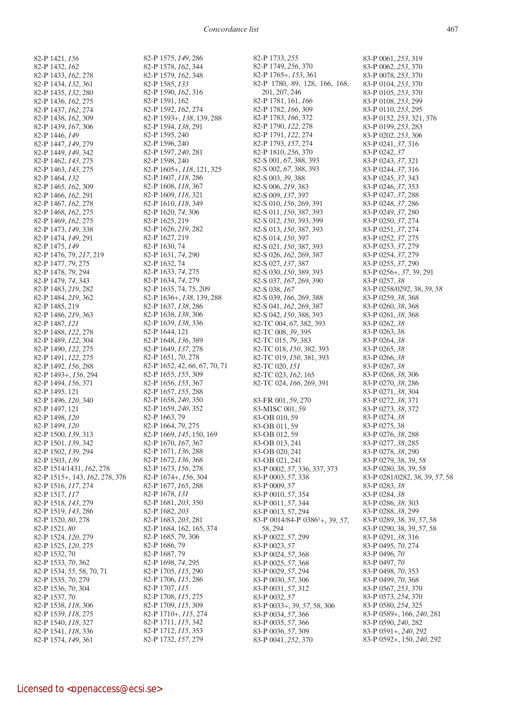82-P 1421, *156* 82-P 1432, *162* 82-P 1433, *162*, 278 82-P 1434, *132*, 361 82-P 1435, *132*, 280 82-P 1436, *162*, 275 82-P 1437, *162*, 274 82-P 1438, *162*, 309 82-P 1439, *167*, 306 82-P 1446, *149* 82-P 1447, *149*, 279 82-P 1449, *149*, 342 82-P 1462, *143*, 275 82-P 1463, *143*, 275 82-P 1464, *132* 82-P 1465, *162*, 309 82-P 1466, *162*, 291 82-P 1467, *162*, 278 82-P 1468, *162*, 275 82-P 1469, *162*, 275 82-P 1473, *149*, 338 82-P 1474, *149*, 291 82-P 1475, *149* 82-P 1476, 79, *217*, 219 82-P 1477, *79*, 275 82-P 1478, *79*, 294 82-P 1479, *74*, 343 82-P 1483, *219*, 282 82-P 1484, *219*, 362 82-P 1485, 219 82-P 1486, *219*, 363 82-P 1487, *121* 82-P 1488, *122*, 278 82-P 1489, *122*, 304 82-P 1490, *122*, 275 82-P 1491, *122*, 275 82-P 1492, *156*, 288 82-P 1493+, *156*, 294 82-P 1494, *156*, 371 82-P 1495, 121 82-P 1496, *120*, 340 82-P 1497, 121 82-P 1498, *120* 82-P 1499, *120* 82-P 1500, *139*, 313 82-P 1501, *139*, 342 82-P 1502, *139*, 294 82-P 1503, *139* 82-P 1514/1431, *162*, 278 82-P 1515+, 143, *162*, 278, 376 82-P 1516, *117*, 274 82-P 1517, *117* 82-P 1518, *143*, 279 82-P 1519, *143*, 286 82-P 1520, *80*, 278 82-P 1521, *80* 82-P 1524, *120*, 279 82-P 1525, *120*, 275 82-P 1532, 70 82-P 1533, *70*, 362 82-P 1534, *55*, 58, 70, 71 82-P 1535, *70*, 279 82-P 1536, *70*, 304 82-P 1537, *70* 82-P 1538, *118*, 306 82-P 1539, *118*, 275 82-P 1540, *118*, 327 82-P 1541, *118*, 336 82-P 1574, *149*, 361

82-P 1575, *149*, 286 82-P 1578, *162*, 344 82-P 1579, *162*, 348 82-P 1585, *133* 82-P 1590, *162*, 316 82-P 1591, 162 82-P 1592, *162*, 274 82-P 1593+, *138*, 139, 288 82-P 1594, *138*, 291 82-P 1595, 240 82-P 1596, 240 82-P 1597, *240*, 281 82-P 1598, 240 82-P 1605+, *118*, 121, 325 82-P 1607, *118*, 286 82-P 1608, *118*, 367 82-P 1609, *118*, 321 82-P 1610, *118*, 349 82-P 1620, *74*, 306 82-P 1625, 219 82-P 1626, *219*, 282 82-P 1627, 219 82-P 1630, 74 82-P 1631, *74*, 290 82-P 1632, 74 82-P 1633, *74*, 275 82-P 1634, *74*, 279 82-P 1635, 74, 75, 209 82-P 1636+, *138*, 139, 288 82-P 1637, *138*, 286 82-P 1638, *138*, 306 82-P 1639, *138*, 336 82-P 1644, 121 82-P 1648, *136*, 389 82-P 1649, *137*, 278 82-P 1651, *70*, 278 82-P 1652, 42, *66*, 67, 70, 71 82-P 1655, *155*, 309 82-P 1656, *155*, 367 82-P 1657, *155*, 288 82-P 1658, *240*, 350 82-P 1659, *240*, 352 82-P 1663, 79 82-P 1664, *79*, 275 82-P 1669, *145*, 150, 169 82-P 1670, *167*, 367 82-P 1671, *136*, 288 82-P 1672, *136*, 368 82-P 1673, *156*, 278 82-P 1674+, *156*, 304 82-P 1677, *165*, 288 82-P 1678, *131* 82-P 1681, *203*, 350 82-P 1682, *203* 82-P 1683, *203*, 281 82-P 1684, 162, 165, 374 82-P 1685, *79*, 306 82-P 1686, 79 82-P 1687, 79 82-P 1698, *74*, 295 82-P 1705, *115*, 290 82-P 1706, *115*, 286 82-P 1707, *115* 82-P 1708, *115*, 275 82-P 1709, *115*, 309 82-P 1710+, *115*, 274 82-P 1711, *115*, 342 82-P 1712, *115*, 353 82-P 1732, *157*, 279

82-P 1733, *255* 82-P 1749, *256*, 370 82-P 1765+, *153*, 361 82-P 1780, 89, 128, 166, 168, 201, 207, 246 82-P 1781, 161, *166* 82-P 1782, *166*, 309 82-P 1783, *166*, 372 82-P 1790, *122*, 278 82-P 1791, *122*, 274 82-P 1793, *157*, 274 82-P 1810, *256*, 370 82-S 001, *67*, 388, 393 82-S 002, *67*, 388, 393 82-S 003, *39*, 388 82-S 006, *219*, 383 82-S 009, *137*, 397 82-S 010, *156*, 269, 391 82-S 011, *150*, 387, 393 82-S 012, *150*, 393, 399 82-S 013, *150*, 387, 393 82-S 014, *150*, 397 82-S 021, *150*, 387, 393 82-S 026, *162*, 269, 387 82-S 027, *137*, 387 82-S 030, *150*, 389, 393 82-S 037, *167*, 269, 390 82-S 038, *167* 82-S 039, *166*, 269, 388 82-S 041, *162*, 269, 387 82-S 042, *150*, 388, 393 82-TC 004, *67*, 382, 393 82-TC 008, *39*, 395 82-TC 015, *79*, 383 82-TC 018, *150*, 382, 393 82-TC 019, *150*, 381, 393 82-TC 020, *151* 82-TC 023, *162*, 165 82-TC 024, *166*, 269, 391 83-FR 001, *59*, 270 83-MISC 001, *59* 83-OB 010, 59 83-OB 011, 59 83-OB 012, 59 83-OB 013, 241 83-OB 020, 241 83-OB 021, 241 83-P 0002, *57*, 336, 337, 373 83-P 0003, *57*, 338 83-P 0009, *57* 83-P 0010, *57*, 354 83-P 0011, *57*, 344 83-P 0013, 57, 294 83-P 0014/84-P 0386<sup>1</sup>+, 39, 57, 58, 294 83-P 0022, *57*, 299 83-P 0023, *57* 83-P 0024, *57*, 368 83-P 0025, *57*, 368 83-P 0029, *57*, 294 83-P 0030, *57*, 306 83-P 0031, *57*, 312 83-P 0032, *57* 83-P 0033+, 39, *57*, 58, 306 83-P 0034, *57*, 366 83-P 0035, *57*, 366 83-P 0036, *57*, 309 83-P 0041, *252*, 370

83-P 0061, *253*, 319 83-P 0062, *253*, 370 83-P 0078, *253*, 370 83-P 0104, *253*, 370 83-P 0105, *253*, 370 83-P 0108, *253*, 299 83-P 0110, *253*, 295 83-P 0152, *253*, 321, 376 83-P 0199, *253*, 283 83-P 0202, *253*, 306 83-P 0241, *37*, 316 83-P 0242, *37* 83-P 0243, *37*, 321 83-P 0244, *37*, 316 83-P 0245, *37*, 343 83-P 0246, *37*, 353 83-P 0247, *37*, 288 83-P 0248, *37*, 286 83-P 0249, *37*, 280 83-P 0250, *37*, 274 83-P 0251, *37*, 274 83-P 0252, *37*, 275 83-P 0253, *37*, 279 83-P 0254, *37*, 279 83-P 0255, *37*, 290 83-P 0256+, *37*, 39, 291 83-P 0257, *38* 83-P 0258/0292, 38, 39, *58* 83-P 0259, *38*, 368 83-P 0260, *38*, 368 83-P 0261, *38*, 368 83-P 0262, *38* 83-P 0263, 38 83-P 0264, *38* 83-P 0265, *38* 83-P 0266, *38* 83-P 0267, *38* 83-P 0268, *38*, 306 83-P 0270, *38*, 286 83-P 0271, *38*, 304 83-P 0272, *38*, 371 83-P 0273, *38*, 372 83-P 0274, *38* 83-P 0275, 38 83-P 0276, *38*, 288 83-P 0277, *38*, 285 83-P 0278, *38*, 290 83-P 0279, 38, 39, *58* 83-P 0280, 38, 39, *58* 83-P 0281/0282, 38, 39, *57*, 58 83-P 0283, *38* 83-P 0284, *38* 83-P 0286, *38*, 303 83-P 0288, *38*, 299 83-P 0289, 38, 39, *57*, 58 83-P 0290, 38, 39, *57*, 58 83-P 0291, *38*, 316 83-P 0495, *70*, 274 83-P 0496, *70* 83-P 0497, *70* 83-P 0498, *70*, 353 83-P 0499, *70*, 368 83-P 0567, *253*, 370 83-P 0573, *254*, 370 83-P 0580, *254*, 325 83-P 0589+, 166, *240*, 281 83-P 0590, *240*, 282 83-P 0591+, *240*, 292 83-P 0592+, 150, *240*, 292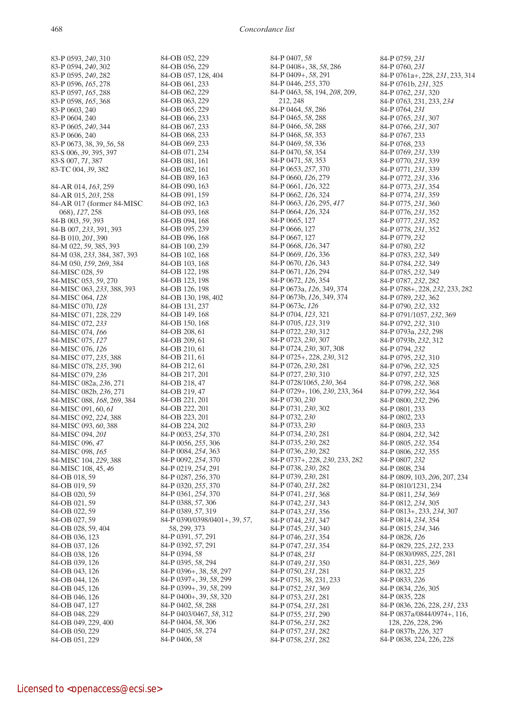83-P 0593, *240*, 310 83-P 0594, *240*, 302 83-P 0595, *240*, 282 83-P 0596, *165*, 278 83-P 0597, *165*, 288 83-P 0598, *165*, 368 83-P 0603, 240 83-P 0604, 240 83-P 0605, *240*, 344 83-P 0606, 240 83-P 0673, 38, 39, *56*, 58 83-S 006, *39*, 395, 397 83-S 007, *71*, 387 83-TC 004, *39*, 382 84-AR 014, *163*, 259 84-AR 015, *203*, 258 84-AR 017 (former 84-MISC 068), *127*, 258 84-B 003, *59*, 393 84-B 007, *233*, 391, 393 84-B 010, *201*, 390 84-M 022, *59*, 385, 393 84-M 038, *233*, 384, 387, 393 84-M 050, *159*, 269, 384 84-MISC 028, *59* 84-MISC 053, *59*, 270 84-MISC 063, *233*, 388, 393 84-MISC 064, *128* 84-MISC 070, *128* 84-MISC 071, 228, 229 84-MISC 072, *233* 84-MISC 074, *166* 84-MISC 075, *127* 84-MISC 076, *126* 84-MISC 077, *235*, 388 84-MISC 078, *235*, 390 84-MISC 079, *236* 84-MISC 082a, *236*, 271 84-MISC 082b, *236*, 271 84-MISC 088, *168*, 269, 384 84-MISC 091, 60, *61* 84-MISC 092, *224*, 388 84-MISC 093, *60*, 388 84-MISC 094, *201* 84-MISC 096, *47* 84-MISC 098, *165* 84-MISC 104, *229*, 388 84-MISC 108, 45, *46* 84-OB 018, 59 84-OB 019, 59 84-OB 020, 59 84-OB 021, 59 84-OB 022, 59 84-OB 027, 59 84-OB 028, 59, 404 84-OB 036, 123 84-OB 037, 126 84-OB 038, 126 84-OB 039, 126 84-OB 043, 126 84-OB 044, 126 84-OB 045, 126 84-OB 046, 126 84-OB 047 127 84-OB 048, 229 84-OB 049, 229, 400 84-OB 050, 229 84-OB 051, 229

84-OB 052, 229 84-OB 056, 229 84-OB 057, 128, 404 84-OB 061, 233 84-OB 062, 229 84-OB 063, 229 84-OB 065, 229 84-OB 066, 233 84-OB 067, 233 84-OB 068, 233 84-OB 069, 233 84-OB 071, 234 84-OB 081, 161 84-OB 082, 161 84-OB 089, 163 84-OB 090, 163 84-OB 091, 159 84-OB 092, 163 84-OB 093, 168 84-OB 094, 168 84-OB 095, 239 84-OB 096, 168 84-OB 100, 239 84-OB 102, 168 84-OB 103, 168 84-OB 122, 198 84-OB 123, 198 84-OB 126, 198 84-OB 130, 198, 402 84-OB 131, 237 84-OB 149, 168 84-OB 150, 168 84-OB 208, 61 84-OB 209, 61 84-OB 210, 61 84-OB 211, 61 84-OB 212, 61 84-OB 217, 201 84-OB 218, 47 84-OB 219, 47 84-OB 221, 201 84-OB 222, 201 84-OB 223, 201 84-OB 224, 202 84-P 0053, *254*, 370 84-P 0056, *255*, 306 84-P 0084, *254*, 363 84-P 0092, *254*, 370 84-P 0219, *254*, 291 84-P 0287, *256*, 370 84-P 0320, *255*, 370 84-P 0361, *254*, 370 84-P 0388, *57*, 306 84-P 0389, *57*, 319 84-P 0390/0398/0401+, 39, *57*, 58, 299, 373 84-P 0391, *57*, 291 84-P 0392, *57*, 291 84-P 0394, *58* 84-P 0395, *58*, 294 84-P 0396+, 38, *58*, 297 84-P 0397+, 39, *58*, 299 84-P 0399+, 39, *58*, 299 84-P 0400+, 39, *58*, 320 84-P 0402, *58*, 288 84-P 0403/0467, *58*, 312 84-P 0404, *58*, 306 84-P 0405, *58*, 274 84-P 0406, *58*

84-P 0407, *58* 84-P 0408+, 38, *58*, 286 84-P 0409+, *58*, 291 84-P 0446, *255*, 370 84-P 0463, 58, 194, *208*, 209, 212, 248 84-P 0464, *58*, 286 84-P 0465, *58*, 288 84-P 0466, *58*, 288 84-P 0468, *58*, 353 84-P 0469, *58*, 336 84-P 0470, *58*, 354 84-P 0471, *58*, 353 84-P 0653, *257*, 370 84-P 0660, *126*, 279 84-P 0661, *126*, 322 84-P 0662, *126*, 324 84-P 0663, *126*, 295, *417* 84-P 0664, *126*, 324 84-P 0665, 127 84-P 0666, 127 84-P 0667, 127 84-P 0668, *126*, 347 84-P 0669, *126*, 336 84-P 0670, *126*, 343 84-P 0671, *126*, 294 84-P 0672, *126*, 354 84-P 0673a, *126*, 349, 374 84-P 0673b, *126*, 349, 374 84-P 0673c, *126* 84-P 0704, *123*, 321 84-P 0705, *123*, 319 84-P 0722, *230*, 312 84-P 0723, *230*, 307 84-P 0724, *230*, 307, 308 84-P 0725+, 228, *230*, 312 84-P 0726, *230*, 281 84-P 0727, *230*, 310 84-P 0728/1065, *230*, 364 84-P 0729+, 106, *230*, 233, 364 84-P 0730, *230* 84-P 0731, *230*, 302 84-P 0732, *230* 84-P 0733, *230* 84-P 0734, *230*, 281 84-P 0735, *230*, 282 84-P 0736, *230*, 282 84-P 0737+, 228, *230*, 233, 282 84-P 0738, *230*, 282 84-P 0739, *230*, 281 84-P 0740, *231*, 282 84-P 0741, *231*, 368 84-P 0742, *231*, 343 84-P 0743, *231*, 356 84-P 0744, *231*, 347 84-P 0745, *231*, 340 84-P 0746, *231*, 354 84-P 0747, *231*, 354 84-P 0748, *231* 84-P 0749, *231*, 350 84-P 0750, *231*, 281 84-P 0751, 38, 231, 233 84-P 0752, *231*, 369 84-P 0753, *231*, 281 84-P 0754, *231*, 281 84-P 0755, *231*, 290 84-P 0756, *231*, 282 84-P 0757, *231*, 282 84-P 0758, *231*, 282

84-P 0759, *231* 84-P 0760, *231* 84-P 0761a+, 228, *231*, 233, 314 84-P 0761b, *231*, 325 84-P 0762, *231*, 320 84-P 0763, 231, 233, *234* 84-P 0764, *231* 84-P 0765, *231*, 307 84-P 0766, *231*, 307 84-P 0767, 233 84-P 0768, 233 84-P 0769, *231*, 339 84-P 0770, *231*, 339 84-P 0771, *231*, 339 84-P 0772, *231*, 336 84-P 0773, *231*, 354 84-P 0774, *231*, 359 84-P 0775, *231*, 360 84-P 0776, *231*, 352 84-P 0777, *231*, 352 84-P 0778, *231*, 352 84-P 0779, *232* 84-P 0780, *232* 84-P 0783, *232*, 349 84-P 0784, *232*, 349 84-P 0785, *232*, 349 84-P 0787, *232*, 282 84-P 0788+, 228, *232*, 233, 282 84-P 0789, *232*, 362 84-P 0790, *232*, 332 84-P 0791/1057, *232*, 369 84-P 0792, *232*, 310 84-P 0793a, *232*, 298 84-P 0793b, *232*, 312 84-P 0794, *232* 84-P 0795, *232*, 310 84-P 0796, *232*, 325 84-P 0797, *232*, 325 84-P 0798, *232*, 368 84-P 0799, *232*, 364 84-P 0800, *232*, 296 84-P 0801, 233 84-P 0802, 233 84-P 0803, 233 84-P 0804, *232*, 342 84-P 0805, *232*, 354 84-P 0806, *232*, 355 84-P 0807, *232* 84-P 0808, 234 84-P 0809, 103, *206*, 207, 234 84-P 0810/1231, 234 84-P 0811, *234*, 369 84-P 0812, *234*, 305 84-P 0813+, 233, *234*, 307 84-P 0814, *234*, 354 84-P 0815, *234*, 346 84-P 0828, *126* 84-P 0829, 225, *232*, 233 84-P 0830/0985, *225*, 281 84-P 0831, *225*, 369 84-P 0832, *225* 84-P 0833, *226* 84-P 0834, *226*, 305 84-P 0835, 228 84-P 0836, 226, 228, *231*, 233 84-P 0837a/0844/0974+, 116, 128, *226*, 228, 296 84-P 0837b, *226*, 327 84-P 0838, 224, 226, 228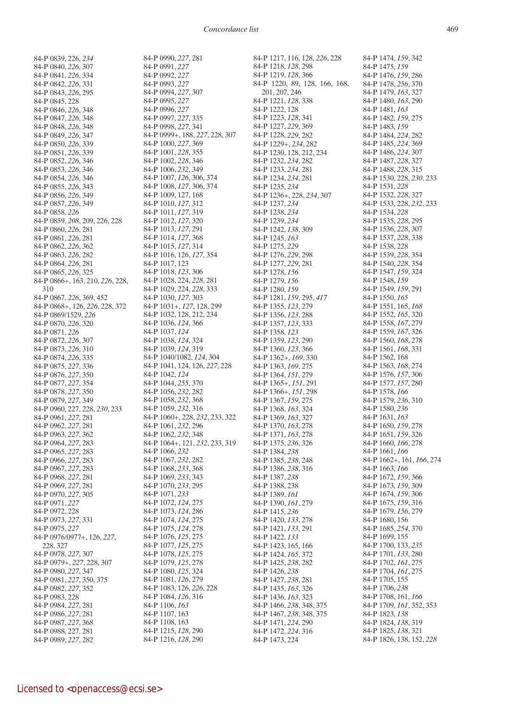84-P 0839, 226, *234* 84-P 0840, *226*, 307 84-P 0841, *226*, 334 84-P 0842, *226*, 331 84-P 0843, *226*, 295 84-P 0845, 228 84-P 0846, *226*, 348 84-P 0847, *226*, 348 84-P 0848, *226*, 348 84-P 0849, *226*, 347 84-P 0850, *226*, 339 84-P 0851, *226*, 339 84-P 0852, *226*, 346 84-P 0853, *226*, 346 84-P 0854, *226*, 346 84-P 0855, *226*, 343 84-P 0856, *226*, 349 84-P 0857, *226*, 349 84-P 0858, *226* 84-P 0859, *208*, 209, 226, 228 84-P 0860, *226*, 281 84-P 0861, *226*, 281 84-P 0862, *226*, 362 84-P 0863, *226*, 282 84-P 0864, *226*, 281 84-P 0865, *226*, 325 84-P 0866+, 163, 210, *226*, 228, 310 84-P 0867, *226*, 369, 452 84-P 0868+, 126, *226*, 228, 372 84-P 0869/1529, *226* 84-P 0870, *226*, 320 84-P 0871, *226* 84-P 0872, *226*, 307 84-P 0873, *226*, 310 84-P 0874, *226*, 335 84-P 0875, *227*, 336 84-P 0876, *227*, 350 84-P 0877, *227*, 354 84-P 0878, *227*, 350 84-P 0879, *227*, 349 84-P 0960, 227, 228, *230*, 233 84-P 0961, *227*, 281 84-P 0962, *227*, 281 84-P 0963, *227*, 362 84-P 0964, *227*, 283 84-P 0965, *227*, 283 84-P 0966, *227*, 283 84-P 0967, *227*, 283 84-P 0968, *227*, 281 84-P 0969, *227*, 281 84-P 0970, *227*, 305 84-P 0971, *227* 84-P 0972, 228 84-P 0973, *227*, 331 84-P 0975, *227* 84-P 0976/0977+, 126, *227*, 228, 327 84-P 0978, *227*, 307 84-P 0979+, *227*, 228, 307 84-P 0980, *227*, 347 84-P 0981, *227*, 350, 375 84-P 0982, *227*, 352 84-P 0983, 228 84-P 0984, *227*, 281 84-P 0986, *227*, 281 84-P 0987, *227*, 368 84-P 0988, 227, 281 84-P 0989, *227*, 282

84-P 0990, *227*, 281 84-P 0991, *227* 84-P 0992, *227* 84-P 0993, *227* 84-P 0994, *227*, 307 84-P 0995, *227* 84-P 0996, *227* 84-P 0997, *227*, 335 84-P 0998, *227*, 341 84-P 0999+, 188, *227*, 228, 307 84-P 1000, *227*, 369 84-P 1001, *228*, 355 84-P 1002, *228*, 346 84-P 1006, *232*, 349 84-P 1007, *126*, 306, 374 84-P 1008, *127*, 306, 374 84-P 1009, 127, 168 84-P 1010, *127*, 312 84-P 1011, *127*, 319 84-P 1012, *127*, 320 84-P 1013, *127*, 291 84-P 1014, *127*, 368 84-P 1015, *127*, 314 84-P 1016, 126, *127*, 354 84-P 1017, 123 84-P 1018, *123*, 306 84-P 1028, 224, *228*, 281 84-P 1029, 224, *228*, 333 84-P 1030, *127*, 303 84-P 1031+, *127*, 128, 299 84-P 1032, 128, 212, 234 84-P 1036, *124*, 366 84-P 1037, *124* 84-P 1038, *124*, 324 84-P 1039, *124*, 319 84-P 1040/1082, *124*, 304 84-P 1041, 124, 126, *227*, 228 84-P 1042, *124* 84-P 1044, *255*, 370 84-P 1056, *232*, 282 84-P 1058, *232*, 368 84-P 1059, *232*, 316 84-P 1060+, 228, *232*, 233, 322 84-P 1061, *232*, 296 84-P 1062, *232*, 348 84-P 1064+, 121, *232*, 233, 319 84-P 1066, *232* 84-P 1067, *232*, 282 84-P 1068, *233*, 368 84-P 1069, *233*, 343 84-P 1070, *233*, 295 84-P 1071, *233* 84-P 1072, *124*, 275 84-P 1073, *124*, 286 84-P 1074, *124*, 275 84-P 1075, *124*, 278 84-P 1076, *125*, 275 84-P 1077, *125*, 275 84-P 1078, *125*, 275 84-P 1079, *125*, 278 84-P 1080, *125*, 324 84-P 1081, *126*, 279 84-P 1083, 126, *226*, 228 84-P 1084, *126*, 316 84-P 1106, *163* 84-P 1107, 163 84-P 1108, 163 84-P 1215, *128*, 290 84-P 1216, *128*, 290

84-P 1217, 116, 128, *226*, 228 84-P 1218, *128*, 298 84-P 1219, *128*, 366 84-P 1220, 89, 128, 166, 168, 201, 207, 246 84-P 1221, *128*, 338 84-P 1222, 128 84-P 1223, *128*, 341 84-P 1227, *229*, 369 84-P 1228, *229*, 282 84-P 1229+, *234*, 282 84-P 1230, 128, 212, 234 84-P 1232, *234*, 282 84-P 1233, *234*, 281 84-P 1234, *234*, 281 84-P 1235, *234* 84-P 1236+, 228, *234*, 307 84-P 1237, *234* 84-P 1238, *234* 84-P 1239, *234* 84-P 1242, *138*, 309 84-P 1245, *163* 84-P 1275, *229* 84-P 1276, *229*, 298 84-P 1277, *229*, 281 84-P 1278, *156* 84-P 1279, *156* 84-P 1280, *159* 84-P 1281, *159*, 295, *417* 84-P 1355, *123*, 279 84-P 1356, *123*, 288 84-P 1357, *123*, 333 84-P 1358, *123* 84-P 1359, *123*, 290 84-P 1360, *123*, 366 84-P 1362+, *169*, 330 84-P 1363, *169*, 275 84-P 1364, *151*, 279 84-P 1365+, *151*, 291 84-P 1366+, *151*, 298 84-P 1367, *159*, 275 84-P 1368, *163*, 324 84-P 1369, *163*, 327 84-P 1370, *163*, 278 84-P 1371, *163*, 278 84-P 1375, *236*, 326 84-P 1384, *238* 84-P 1385, *238*, 248 84-P 1386, *238*, 316 84-P 1387, *238* 84-P 1388, 238 84-P 1389, *161* 84-P 1390, *161*, 279 84-P 1415, *236* 84-P 1420, *133*, 278 84-P 1421, *133*, 291 84-P 1422, *133* 84-P 1423, 165, 166 84-P 1424, *165*, 372 84-P 1425, *238*, 282 84-P 1426, *238* 84-P 1427, *238*, 281 84-P 1435, *163*, 326 84-P 1436, *163*, 323 84-P 1466, *238*, 348, 375 84-P 1467, *238*, 348, 375 84-P 1471, *224*, 290 84-P 1472, *224*, 316 84-P 1473, 224

84-P 1474, *159*, 342 84-P 1475, *159* 84-P 1476, *159*, 286 84-P 1478, *256*, 370 84-P 1479, *163*, 327 84-P 1480, *163*, 290 84-P 1481, *163* 84-P 1482, *159*, 275 84-P 1483, *159* 84-P 1484, *224*, 282 84-P 1485, *224*, 369 84-P 1486, *224*, 307 84-P 1487, *228*, 327 84-P 1488, *228*, 315 84-P 1530, 228, *230*, 233 84-P 1531, *228* 84-P 1532, *228*, 327 84-P 1533, 228, *232*, 233 84-P 1534, *228* 84-P 1535, *228*, 295 84-P 1536, *228*, 307 84-P 1537, *228*, 338 84-P 1538, 228 84-P 1539, *228*, 354 84-P 1540, *228*, 354 84-P 1547, *159*, 324 84-P 1548, *159* 84-P 1549, *159*, 291 84-P 1550, *165* 84-P 1551, 165, *168* 84-P 1552, *165*, 320 84-P 1558, *167*, 279 84-P 1559, *167*, 326 84-P 1560, *168*, 278 84-P 1561, *168*, 331 84-P 1562, 168 84-P 1563, *168*, 274 84-P 1576, *157*, 306 84-P 1577, *157*, 280 84-P 1578, *166* 84-P 1579, *236*, 310 84-P 1580, *236* 84-P 1631, *163* 84-P 1650, *159*, 278 84-P 1651, *159*, 326 84-P 1660, *166*, 278 84-P 1661, *166* 84-P 1662+, 161, *166*, 274 84-P 1663, *166* 84-P 1672, *159*, 366 84-P 1673, *159*, 309 84-P 1674, *159*, 306 84-P 1675, *159*, 316 84-P 1679, *156*, 279 84-P 1680, 156 84-P 1685, *254*, 370 84-P 1699, 155 84-P 1700, 133, *235* 84-P 1701, *133*, 280 84-P 1702, *161*, 275 84-P 1704, *161*, 275 84-P 1705, 155 84-P 1706, *238* 84-P 1708, 161, *166* 84-P 1709, *161*, 352, 353 84-P 1823, *138* 84-P 1824, *138*, 319 84-P 1825, *138*, 321 84-P 1826, 138, 152, *228*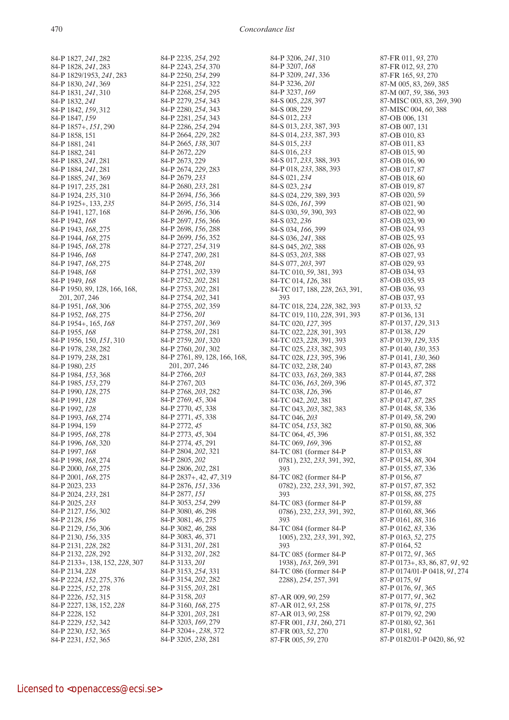84-P 1827, *241*, 282 84-P 1828, *241*, 283 84-P 1829/1953, *241*, 283 84-P 1830, *241*, 369 84-P 1831, *241*, 310 84-P 1832, *241* 84-P 1842, *159*, 312 84-P 1847, *159* 84-P 1857+, *151*, 290 84-P 1858, 151 84-P 1881, 241 84-P 1882, 241 84-P 1883, *241*, 281 84-P 1884, *241*, 281 84-P 1885, *241*, 369 84-P 1917, *235*, 281 84-P 1924, *235*, 310 84-P 1925+, 133, *235* 84-P 1941, 127, 168 84-P 1942, *168* 84-P 1943, *168*, 275 84-P 1944, *168*, 275 84-P 1945, *168*, 278 84-P 1946, *168* 84-P 1947, *168*, 275 84-P 1948, *168* 84-P 1949, *168* 84-P 1950, 89, 128, 166, 168, 201, 207, 246 84-P 1951, *168*, 306 84-P 1952, *168*, 275 84-P 1954+, 165, *168* 84-P 1955, *168* 84-P 1956, 150, *151*, 310 84-P 1978, *238*, 282 84-P 1979, *238*, 281 84-P 1980, *235* 84-P 1984, *153*, 368 84-P 1985, *153*, 279 84-P 1990, *128*, 275 84-P 1991, *128* 84-P 1992, *128* 84-P 1993, *168*, 274 84-P 1994, 159 84-P 1995, *168*, 278 84-P 1996, *168*, 320 84-P 1997, *168* 84-P 1998, *168*, 274 84-P 2000, *168*, 275 84-P 2001, *168*, 275 84-P 2023, 233 84-P 2024, *233*, 281 84-P 2025, *233* 84-P 2127, *156*, 302 84-P 2128, *156* 84-P 2129, *156*, 306 84-P 2130, *156*, 335 84-P 2131, *228*, 282 84-P 2132, *228*, 292 84-P 2133+, 138, 152, *228*, 307 84-P 2134, *228* 84-P 2224, *152*, 275, 376 84-P 2225, *152*, 278 84-P 2226, *152*, 315 84-P 2227, 138, 152, *228* 84-P 2228, 152 84-P 2229, *152*, 342 84-P 2230, *152*, 365 84-P 2231, *152*, 365

84-P 2235, *254*, 292 84-P 2243, *254*, 370 84-P 2250, *254*, 299 84-P 2251, *254*, 322 84-P 2268, *254*, 295 84-P 2279, *254*, 343 84-P 2280, *254*, 343 84-P 2281, *254*, 343 84-P 2286, *254*, 294 84-P 2664, *229*, 282 84-P 2665, *138*, 307 84-P 2672, *229* 84-P 2673, 229 84-P 2674, *229*, 283 84-P 2679, *233* 84-P 2680, *233*, 281 84-P 2694, *156*, 366 84-P 2695, *156*, 314 84-P 2696, *156*, 306 84-P 2697, *156*, 366 84-P 2698, *156*, 288 84-P 2699, *156*, 352 84-P 2727, *254*, 319 84-P 2747, *200*, 281 84-P 2748, *201* 84-P 2751, *202*, 339 84-P 2752, *202*, 281 84-P 2753, *202*, 281 84-P 2754, *202*, 341 84-P 2755, *202*, 359 84-P 2756, *201* 84-P 2757, *201*, 369 84-P 2758, *201*, 281 84-P 2759, *201*, 320 84-P 2760, *201*, 302 84-P 2761, 89, 128, 166, 168, 201, 207, 246 84-P 2766, *203* 84-P 2767, 203 84-P 2768, *203*, 282 84-P 2769, *45*, 304 84-P 2770, *45*, 338 84-P 2771, *45*, 338 84-P 2772, *45* 84-P 2773, *45*, 304 84-P 2774, *45*, 291 84-P 2804, *202*, 321 84-P 2805, *202* 84-P 2806, *202*, 281 84-P 2837+, 42, *47*, 319 84-P 2876, *151*, 336 84-P 2877, *151* 84-P 3053, *254*, 299 84-P 3080, *46*, 298 84-P 3081, *46*, 275 84-P 3082, *46*, 288 84-P 3083, *46*, 371 84-P 3131, *201*, 281 84-P 3132, *201*, 282 84-P 3133, *201* 84-P 3153, *254*, 331 84-P 3154, *202*, 282 84-P 3155, *203*, 281 84-P 3158, *203* 84-P 3160, *168*, 275 84-P 3201, *203*, 281 84-P 3203, *169*, 279 84-P 3204+, *238*, 372 84-P 3205, *238*, 281

84-P 3206, *241*, 310 84-P 3207, *168* 84-P 3209, *241*, 336 84-P 3236, *201* 84-P 3237, *169* 84-S 005, *228*, 397 84-S 008, 229 84-S 012, *233* 84-S 013, *233*, 387, 393 84-S 014, *233*, 387, 393 84-S 015, *233* 84-S 016, *233* 84-S 017, *233*, 388, 393 84-P 018, *233*, 388, 393 84-S 021, *234* 84-S 023, *234* 84-S 024, *229*, 389, 393 84-S 026, *161*, 399 84-S 030, *59*, 390, 393 84-S 032, *236* 84-S 034, *166*, 399 84-S 036, *241*, 388 84-S 045, *202*, 388 84-S 053, *203*, 388 84-S 077, *203*, 397 84-TC 010, *59*, 381, 393 84-TC 014, *126*, 381 84-TC 017, 188, *228*, 263, 391, 393 84-TC 018, 224, *228*, 382, 393 84-TC 019, 110, *228*, 391, 393 84-TC 020, *127*, 395 84-TC 022, *228*, 391, 393 84-TC 023, *228*, 391, 393 84-TC 025, *233*, 382, 393 84-TC 028, *123*, 395, 396 84-TC 032, *238*, 240 84-TC 033, *163*, 269, 383 84-TC 036, *163*, 269, 396 84-TC 038, *126*, 396 84-TC 042, *202*, 381 84-TC 043, *203*, 382, 383 84-TC 046, *203* 84-TC 054, *153*, 382 84-TC 064, *45*, 396 84-TC 069, *169*, 396 84-TC 081 (former 84-P 0781), 232, *233*, 391, 392, 393 84-TC 082 (former 84-P 0782), 232, *233*, 391, 392, 393 84-TC 083 (former 84-P 0786), 232, *233*, 391, 392, 393 84-TC 084 (former 84-P 1005), 232, *233*, 391, 392, 393 84-TC 085 (former 84-P 1938), *163*, 269, 391 84-TC 086 (former 84-P 2288), *254*, 257, 391 87-AR 009, *90*, 259 87-AR 012, *93*, 258 87-AR 013, *90*, 258 87-FR 001, *131*, 260, 271 87-FR 003, *52*, 270 87-FR 005, *59*, 270

87-FR 011, *93*, 270 87-FR 012, *93*, 270 87-FR 165, *93*, 270 87-M 005, 83, 269, 385 87-M 007, *59*, 386, 393 87-MISC 003, 83, 269, 390 87-MISC 004, *60*, 388 87-OB 006, 131 87-OB 007, 131 87-OB 010, 83 87-OB 011, 83 87-OB 015, 90 87-OB 016, 90 87-OB 017, 87 87-OB 018, 60 87-OB 019, 87 87-OB 020, 59 87-OB 021, 90 87-OB 022, 90 87-OB 023, 90 87-OB 024, 93 87-OB 025, 93 87-OB 026, 93 87-OB 027, 93 87-OB 029, 93 87-OB 034, 93 87-OB 035, 93 87-OB 036, 93 87-OB 037, 93 87-P 0133, *52* 87-P 0136, 131 87-P 0137, *129*, 313 87-P 0138, *129* 87-P 0139, *129*, 335 87-P 0140, *130*, 353 87-P 0141, *130*, 360 87-P 0143, *87*, 288 87-P 0144, *87*, 288 87-P 0145, *87*, 372 87-P 0146, *87* 87-P 0147, *87*, 285 87-P 0148, *58*, 336 87-P 0149, *58*, 290 87-P 0150, *88*, 306 87-P 0151, *88*, 352 87-P 0152, *88* 87-P 0153, *88* 87-P 0154, *88*, 304 87-P 0155, *87*, 336 87-P 0156, *87* 87-P 0157, *87*, 352 87-P 0158, *88*, 275 87-P 0159, *88* 87-P 0160, *88*, 366 87-P 0161, *88*, 316 87-P 0162, *83*, 336 87-P 0163, *52*, 275 87-P 0164, 52 87-P 0172, *91*, 365 87-P 0173+, 83, 86, 87, *91*, 92 87-P 0174/01-P 0418, *91*, 274 87-P 0175, *91* 87-P 0176, *91*, 365 87-P 0177, *91*, 362 87-P 0178, *91*, 275 87-P 0179, *92*, 290 87-P 0180, *92*, 361 87-P 0181, *92* 87-P 0182/01-P 0420, 86, 92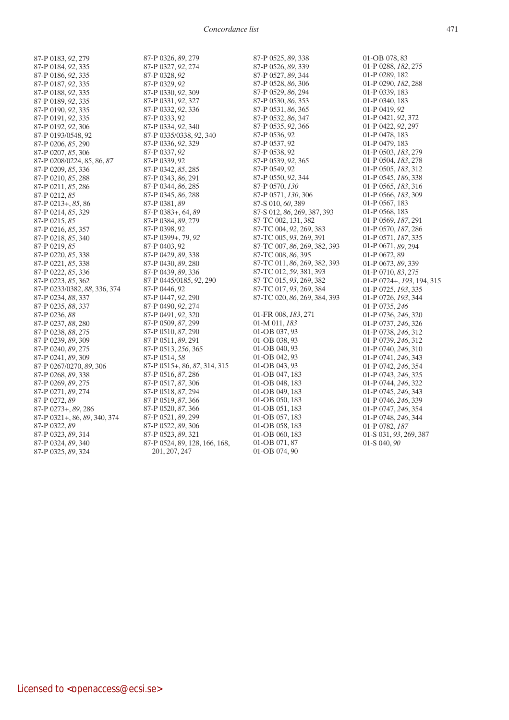*Concordance list* 471

87-P 0183, *92*, 279 87-P 0184, *92*, 335 87-P 0186, *92*, 335 87-P 0187, *92*, 335 87-P 0188, *92*, 335 87-P 0189, *92*, 335 87-P 0190, *92*, 335 87-P 0191, *92*, 335 87-P 0192, *92*, 306 87-P 0193/0548, 92 87-P 0206, *85*, 290 87-P 0207, *85*, 306 87-P 0208/0224, 85, 86, *87* 87-P 0209, *85*, 336 87-P 0210, *85*, 288 87-P 0211, *85*, 286 87-P 0212, *85* 87-P 0213+, *85*, 86 87-P 0214, *85*, 329 87-P 0215, *85* 87-P 0216, *85*, 357 87-P 0218, *85*, 340 87-P 0219, *85* 87-P 0220, *85*, 338 87-P 0221, *85*, 338 87-P 0222, *85*, 336 87-P 0223, *85*, 362 87-P 0233/0382, *88*, 336, 374 87-P 0234, *88*, 337 87-P 0235, *88*, 337 87-P 0236, *88* 87-P 0237, *88*, 280 87-P 0238, *88*, 275 87-P 0239, *89*, 309 87-P 0240, *89*, 275 87-P 0241, *89*, 309 87-P 0267/0270, *89*, 306 87-P 0268, *89*, 338 87-P 0269, *89*, 275 87-P 0271, *89*, 274 87-P 0272, *89* 87-P 0273+, *89*, 286 87-P 0321+, 86, *89*, 340, 374 87-P 0322, *89* 87-P 0323, *89*, 314 87-P 0324, *89*, 340 87-P 0325, *89*, 324

87-P 0326, *89*, 279 87-P 0327, *92*, 274 87-P 0328, *92* 87-P 0329, *92* 87-P 0330, *92*, 309 87-P 0331, *92*, 327 87-P 0332, *92*, 336 87-P 0333, 92 87-P 0334, *92*, 340 87-P 0335/0338, *92*, 340 87-P 0336, *92*, 329 87-P 0337, *92* 87-P 0339, 92 87-P 0342, *85*, 285 87-P 0343, *86*, 291 87-P 0344, *86*, 285 87-P 0345, *86*, 288 87-P 0381, *89* 87-P 0383+, 64, *89* 87-P 0384, *89*, 279 87-P 0398, 92 87-P 0399+, 79, *92* 87-P 0403, 92 87-P 0429, *89*, 338 87-P 0430, *89*, 280 87-P 0439, *89*, 336 87-P 0445/0185, *92*, 290 87-P 0446, 92 87-P 0447, *92*, 290 87-P 0490, *92*, 274 87-P 0491, *92*, 320 87-P 0509, *87*, 299 87-P 0510, *87*, 290 87-P 0511, *89*, 291 87-P 0513, *256*, 365 87-P 0514, *58* 87-P 0515+, 86, *87*, 314, 315 87-P 0516, *87*, 286 87-P 0517, *87*, 306 87-P 0518, *87*, 294 87-P 0519, *87*, 366 87-P 0520, *87*, 366 87-P 0521, *89*, 299 87-P 0522, *89*, 306 87-P 0523, *89*, 321 87-P 0524, 89, 128, 166, 168,

201, 207, 247

87-P 0525, *89*, 338 87-P 0526, *89*, 339 87-P 0527, *89*, 344 87-P 0528, *86*, 306 87-P 0529, *86*, 294 87-P 0530, *86*, 353 87-P 0531, *86*, 365 87-P 0532, *86*, 347 87-P 0535, *92*, 366 87-P 0536, 92 87-P 0537, 92 87-P 0538, 92 87-P 0539, *92*, 365 87-P 0549, 92 87-P 0550, *92*, 344 87-P 0570, *130* 87-P 0571, *130*, 306 87-S 010, *60*, 389 87-S 012, *86*, 269, 387, 393 87-TC 002, 131, 382 87-TC 004, *92*, 269, 383 87-TC 005, *93*, 269, 391 87-TC 007, *86*, 269, 382, 393 87-TC 008, *86*, 395 87-TC 011, *86*, 269, 382, 393 87-TC 012, *59*, 381, 393 87-TC 015, *93*, 269, 382 87-TC 017, *93*, 269, 384 87-TC 020, *86*, 269, 384, 393 01-FR 008, *183*, 271 01-M 011, *183* 01-OB 037, 93 01-OB 038, 93 01-OB 040, 93 01-OB 042, 93 01-OB 043, 93 01-OB 047, 183 01-OB 048, 183 01-OB 049, 183 01-OB 050, 183 01-OB 051, 183 01-OB 057, 183 01-OB 058, 183 01-OB 060, 183 01-OB 071, 87 01-OB 074, 90

01-OB 078, 83 01-P 0288, *182*, 275 01-P 0289, 182 01-P 0290, *182*, 288 01-P 0339, 183 01-P 0340, 183 01-P 0419, *92* 01-P 0421, *92*, 372 01-P 0422, *92*, 297 01-P 0478, 183 01-P 0479, 183 01-P 0503, *183*, 279 01-P 0504, *183*, 278 01-P 0505, *183*, 312 01-P 0545, *186*, 338 01-P 0565, *183*, 316 01-P 0566, *183*, 309 01-P 0567, 183 01-P 0568, 183 01-P 0569, *187*, 291 01-P 0570, *187*, 286 01-P 0571, *187*, 335 01-P 0671, *89*, 294 01-P 0672, 89 01-P 0673, *89*, 339 01-P 0710, *83*, 275 01-P 0724+, *193*, 194, 315 01-P 0725, *193*, 335 01-P 0726, *193*, 344 01-P 0735, *246* 01-P 0736, *246*, 320 01-P 0737, *246*, 326 01-P 0738, *246*, 312 01-P 0739, *246*, 312 01-P 0740, *246*, 310 01-P 0741, *246*, 343 01-P 0742, *246*, 354 01-P 0743, *246*, 325 01-P 0744, *246*, 322 01-P 0745, *246*, 343 01-P 0746, *246*, 339 01-P 0747, *246*, 354 01-P 0748, *246*, 344 01-P 0782, *187* 01-S 031, *93*, 269, 387 01-S 040, *90*